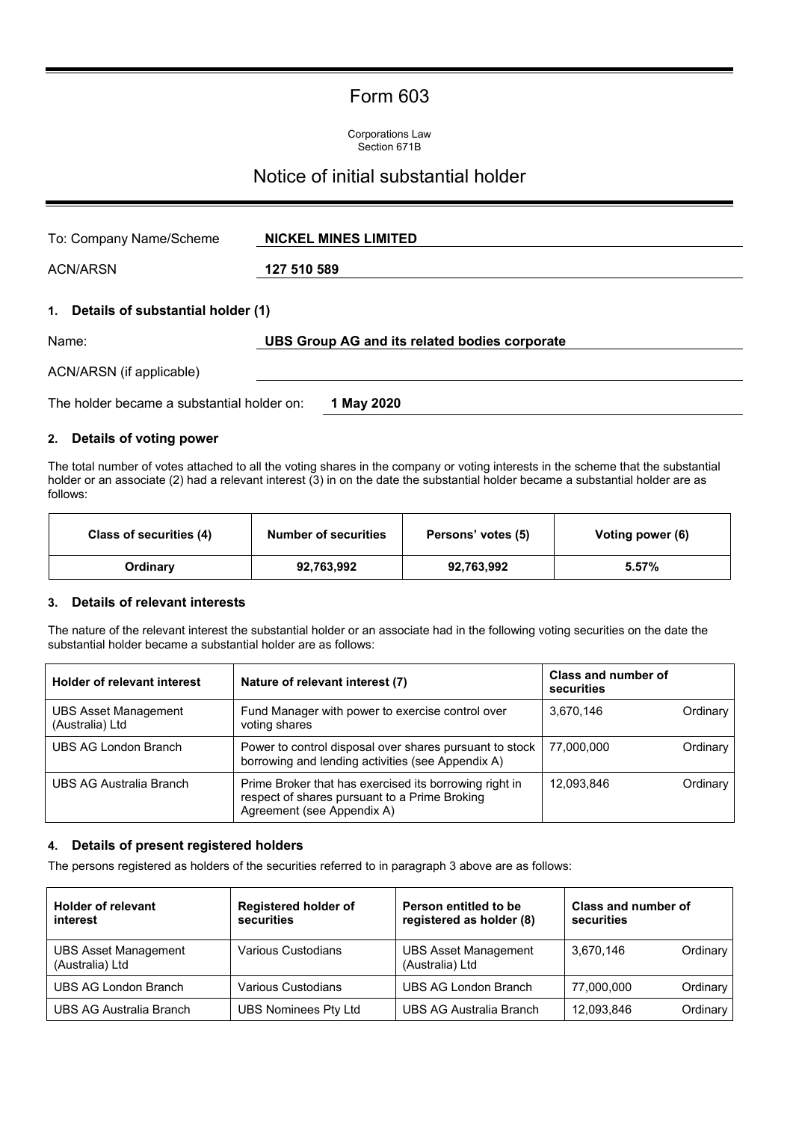# Form 603

Corporations Law Section 671B

# Notice of initial substantial holder

| To: Company Name/Scheme                          | <b>NICKEL MINES LIMITED</b>                   |
|--------------------------------------------------|-----------------------------------------------|
| <b>ACN/ARSN</b>                                  | 127 510 589                                   |
| Details of substantial holder (1)<br>1.<br>Name: | UBS Group AG and its related bodies corporate |
| ACN/ARSN (if applicable)                         |                                               |
| The holder became a substantial holder on:       | 1 May 2020                                    |

# **2. Details of voting power**

The total number of votes attached to all the voting shares in the company or voting interests in the scheme that the substantial holder or an associate (2) had a relevant interest (3) in on the date the substantial holder became a substantial holder are as follows:

| Class of securities (4) | <b>Number of securities</b> | Persons' votes (5) | Voting power (6) |
|-------------------------|-----------------------------|--------------------|------------------|
| Ordinary                | 92,763,992                  | 92,763,992         | 5.57%            |

#### **3. Details of relevant interests**

The nature of the relevant interest the substantial holder or an associate had in the following voting securities on the date the substantial holder became a substantial holder are as follows:

| <b>Holder of relevant interest</b>             | Nature of relevant interest (7)                                                                                                       | Class and number of<br>securities |          |
|------------------------------------------------|---------------------------------------------------------------------------------------------------------------------------------------|-----------------------------------|----------|
| <b>UBS Asset Management</b><br>(Australia) Ltd | Fund Manager with power to exercise control over<br>voting shares                                                                     | 3,670,146                         | Ordinary |
| UBS AG London Branch                           | Power to control disposal over shares pursuant to stock<br>borrowing and lending activities (see Appendix A)                          | 77.000.000                        | Ordinary |
| UBS AG Australia Branch                        | Prime Broker that has exercised its borrowing right in<br>respect of shares pursuant to a Prime Broking<br>Agreement (see Appendix A) | 12.093.846                        | Ordinary |

# **4. Details of present registered holders**

The persons registered as holders of the securities referred to in paragraph 3 above are as follows:

| <b>Holder of relevant</b>   | <b>Registered holder of</b> | Person entitled to be          | Class and number of    |
|-----------------------------|-----------------------------|--------------------------------|------------------------|
| interest                    | securities                  | registered as holder (8)       | securities             |
| <b>UBS Asset Management</b> | Various Custodians          | <b>UBS Asset Management</b>    | 3.670.146              |
| (Australia) Ltd             |                             | (Australia) Ltd                | Ordinary               |
| UBS AG London Branch        | Various Custodians          | UBS AG London Branch           | 77.000.000<br>Ordinary |
| UBS AG Australia Branch     | UBS Nominees Pty Ltd        | <b>UBS AG Australia Branch</b> | 12,093,846<br>Ordinary |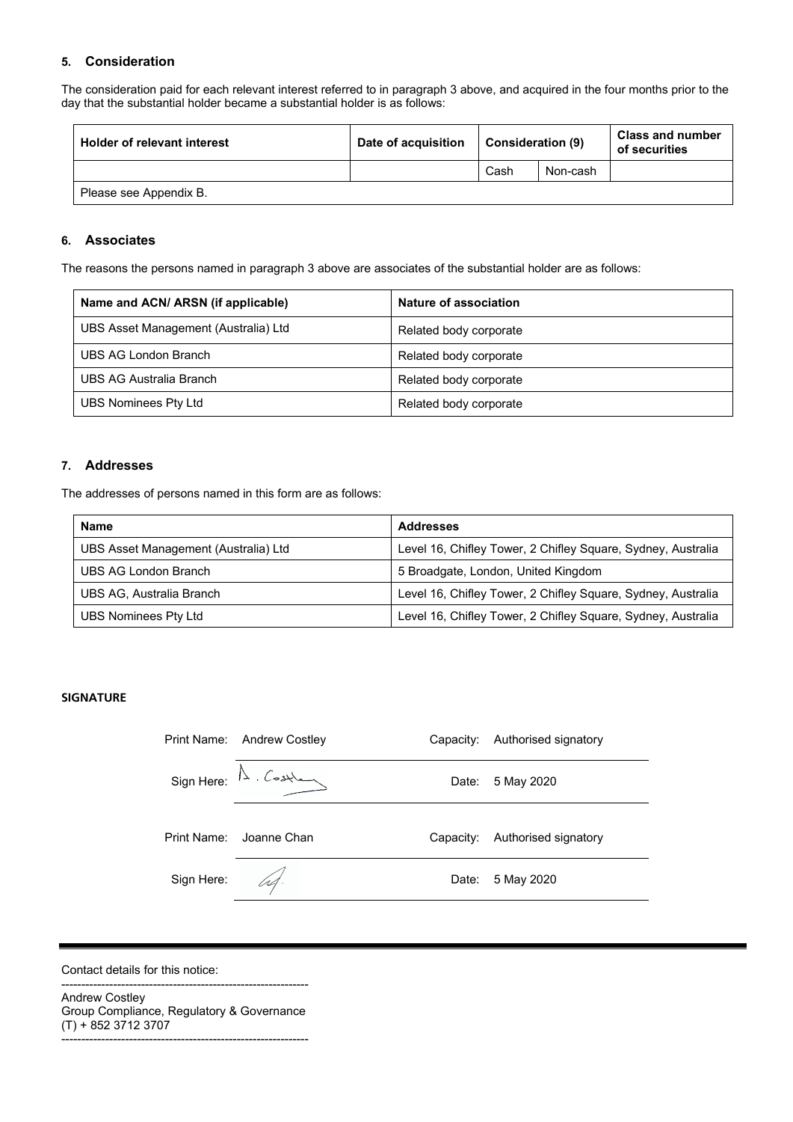# **5. Consideration**

The consideration paid for each relevant interest referred to in paragraph 3 above, and acquired in the four months prior to the day that the substantial holder became a substantial holder is as follows:

| <b>Holder of relevant interest</b> | Date of acquisition | <b>Consideration (9)</b> |          | <b>Class and number</b><br>of securities |
|------------------------------------|---------------------|--------------------------|----------|------------------------------------------|
|                                    |                     | Cash                     | Non-cash |                                          |
| Please see Appendix B.             |                     |                          |          |                                          |

#### **6. Associates**

The reasons the persons named in paragraph 3 above are associates of the substantial holder are as follows:

| Name and ACN/ ARSN (if applicable)   | Nature of association  |
|--------------------------------------|------------------------|
| UBS Asset Management (Australia) Ltd | Related body corporate |
| UBS AG London Branch                 | Related body corporate |
| UBS AG Australia Branch              | Related body corporate |
| UBS Nominees Pty Ltd                 | Related body corporate |

#### **7. Addresses**

The addresses of persons named in this form are as follows:

| <b>Name</b>                          | Addresses                                                    |
|--------------------------------------|--------------------------------------------------------------|
| UBS Asset Management (Australia) Ltd | Level 16, Chifley Tower, 2 Chifley Square, Sydney, Australia |
| UBS AG London Branch                 | 5 Broadgate, London, United Kingdom                          |
| UBS AG, Australia Branch             | Level 16, Chifley Tower, 2 Chifley Square, Sydney, Australia |
| UBS Nominees Pty Ltd                 | Level 16, Chifley Tower, 2 Chifley Square, Sydney, Australia |

#### **SIGNATURE**

|             | Print Name: Andrew Costley                                                                                                                                                                                                                                                                                                                                      | Capacity: | Authorised signatory |
|-------------|-----------------------------------------------------------------------------------------------------------------------------------------------------------------------------------------------------------------------------------------------------------------------------------------------------------------------------------------------------------------|-----------|----------------------|
|             | $Sign Here: \triangle . \n \n \begin{picture}(120,110) \put(0,0){\line(0,1){10}} \put(15,0){\line(0,1){10}} \put(15,0){\line(0,1){10}} \put(15,0){\line(0,1){10}} \put(15,0){\line(0,1){10}} \put(15,0){\line(0,1){10}} \put(15,0){\line(0,1){10}} \put(15,0){\line(0,1){10}} \put(15,0){\line(0,1){10}} \put(15,0){\line(0,1){10}} \put(15,0){\line(0,1){10}}$ | Date:     | 5 May 2020           |
| Print Name: | Joanne Chan                                                                                                                                                                                                                                                                                                                                                     | Capacity: | Authorised signatory |
| Sign Here:  | ht.                                                                                                                                                                                                                                                                                                                                                             | Date:     | 5 May 2020           |

Contact details for this notice:

-------------------------------------------------------------- Andrew Costley Group Compliance, Regulatory & Governance (T) + 852 3712 3707

--------------------------------------------------------------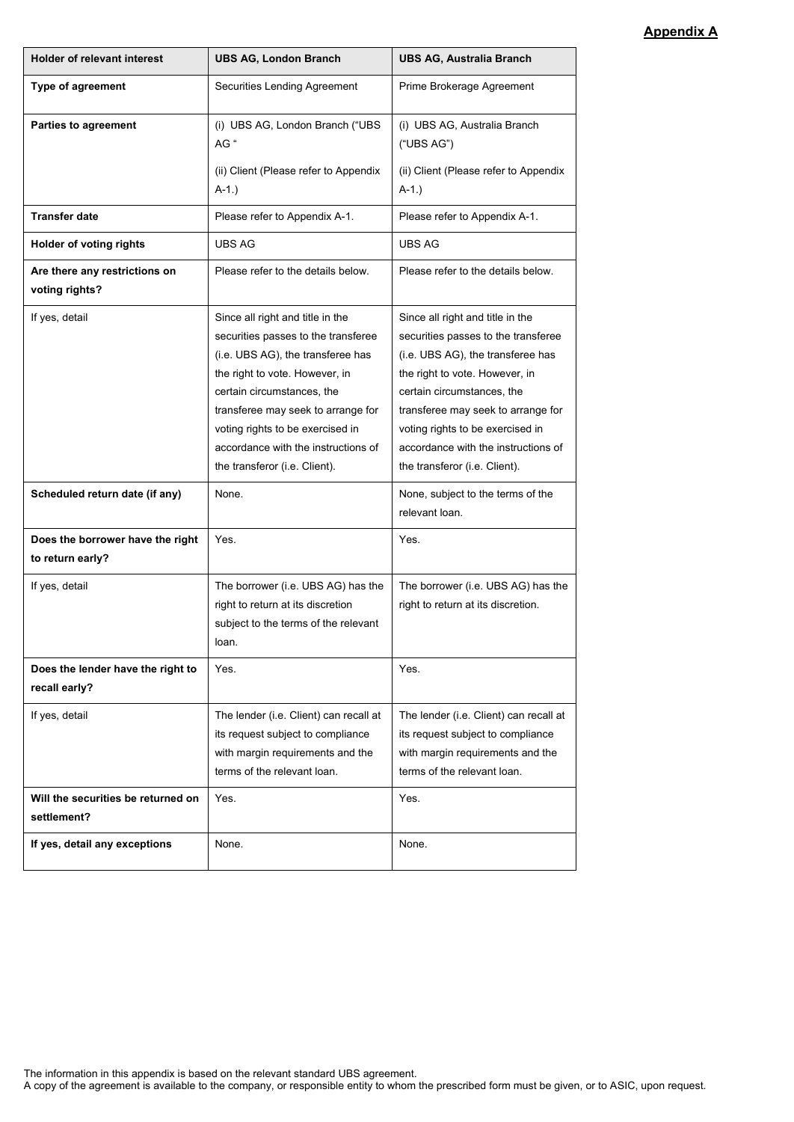# **Appendix A**

| <b>Holder of relevant interest</b>                   | <b>UBS AG, London Branch</b>                                                                                                                                                                                                                                                                                                   | <b>UBS AG, Australia Branch</b>                                                                                                                                                                                                                                                                                                |
|------------------------------------------------------|--------------------------------------------------------------------------------------------------------------------------------------------------------------------------------------------------------------------------------------------------------------------------------------------------------------------------------|--------------------------------------------------------------------------------------------------------------------------------------------------------------------------------------------------------------------------------------------------------------------------------------------------------------------------------|
| Type of agreement                                    | Securities Lending Agreement                                                                                                                                                                                                                                                                                                   | Prime Brokerage Agreement                                                                                                                                                                                                                                                                                                      |
| <b>Parties to agreement</b>                          | (i) UBS AG, London Branch ("UBS<br>AG "                                                                                                                                                                                                                                                                                        | (i) UBS AG, Australia Branch<br>("UBS AG")                                                                                                                                                                                                                                                                                     |
|                                                      | (ii) Client (Please refer to Appendix<br>$A-1.$ )                                                                                                                                                                                                                                                                              | (ii) Client (Please refer to Appendix<br>$A-1.$                                                                                                                                                                                                                                                                                |
| <b>Transfer date</b>                                 | Please refer to Appendix A-1.                                                                                                                                                                                                                                                                                                  | Please refer to Appendix A-1.                                                                                                                                                                                                                                                                                                  |
| Holder of voting rights                              | <b>UBS AG</b>                                                                                                                                                                                                                                                                                                                  | UBS AG                                                                                                                                                                                                                                                                                                                         |
| Are there any restrictions on<br>voting rights?      | Please refer to the details below.                                                                                                                                                                                                                                                                                             | Please refer to the details below.                                                                                                                                                                                                                                                                                             |
| If yes, detail                                       | Since all right and title in the<br>securities passes to the transferee<br>(i.e. UBS AG), the transferee has<br>the right to vote. However, in<br>certain circumstances, the<br>transferee may seek to arrange for<br>voting rights to be exercised in<br>accordance with the instructions of<br>the transferor (i.e. Client). | Since all right and title in the<br>securities passes to the transferee<br>(i.e. UBS AG), the transferee has<br>the right to vote. However, in<br>certain circumstances, the<br>transferee may seek to arrange for<br>voting rights to be exercised in<br>accordance with the instructions of<br>the transferor (i.e. Client). |
| Scheduled return date (if any)                       | None.                                                                                                                                                                                                                                                                                                                          | None, subject to the terms of the<br>relevant loan.                                                                                                                                                                                                                                                                            |
| Does the borrower have the right<br>to return early? | Yes.                                                                                                                                                                                                                                                                                                                           | Yes.                                                                                                                                                                                                                                                                                                                           |
| If yes, detail                                       | The borrower (i.e. UBS AG) has the<br>right to return at its discretion<br>subject to the terms of the relevant<br>loan.                                                                                                                                                                                                       | The borrower (i.e. UBS AG) has the<br>right to return at its discretion.                                                                                                                                                                                                                                                       |
| Does the lender have the right to<br>recall early?   | Yes.                                                                                                                                                                                                                                                                                                                           | Yes.                                                                                                                                                                                                                                                                                                                           |
| If yes, detail                                       | The lender (i.e. Client) can recall at<br>its request subject to compliance<br>with margin requirements and the<br>terms of the relevant loan.                                                                                                                                                                                 | The lender (i.e. Client) can recall at<br>its request subject to compliance<br>with margin requirements and the<br>terms of the relevant loan.                                                                                                                                                                                 |
| Will the securities be returned on<br>settlement?    | Yes.                                                                                                                                                                                                                                                                                                                           | Yes.                                                                                                                                                                                                                                                                                                                           |
| If yes, detail any exceptions                        | None.                                                                                                                                                                                                                                                                                                                          | None.                                                                                                                                                                                                                                                                                                                          |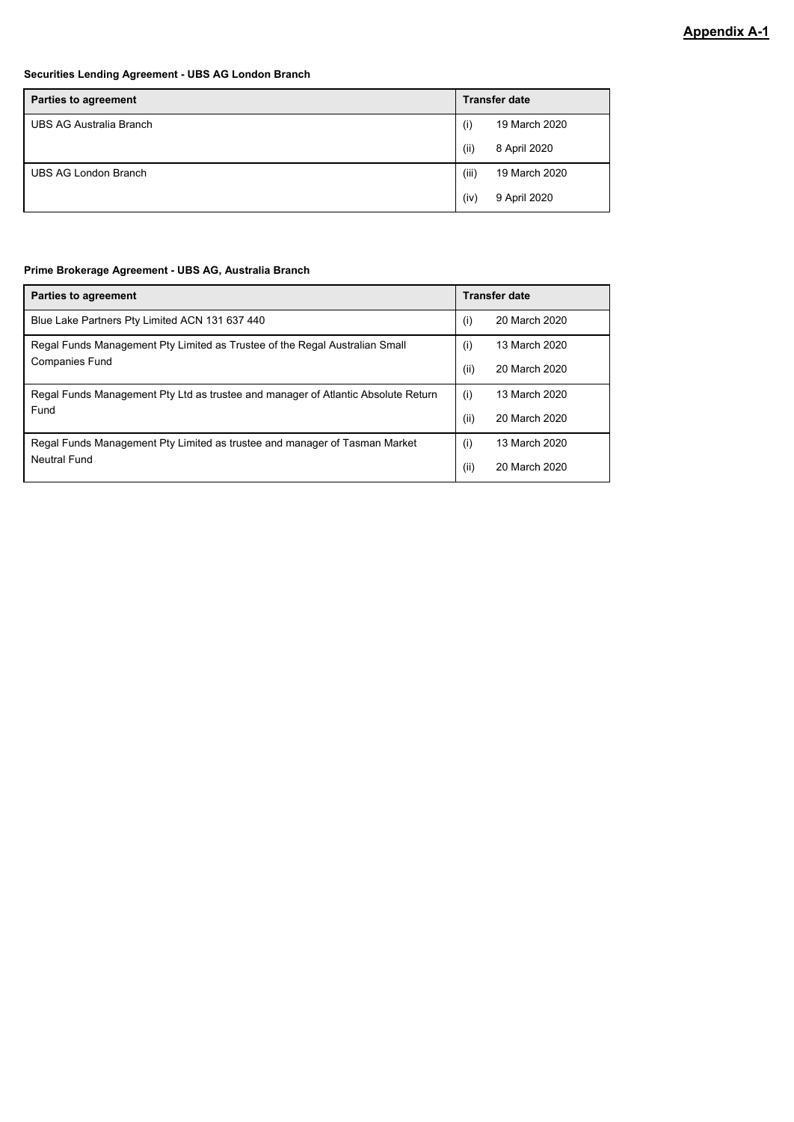# **Securities Lending Agreement - UBS AG London Branch**

| <b>Parties to agreement</b> |       | <b>Transfer date</b> |
|-----------------------------|-------|----------------------|
| UBS AG Australia Branch     | (i)   | 19 March 2020        |
|                             | (ii)  | 8 April 2020         |
| UBS AG London Branch        | (iii) | 19 March 2020        |
|                             | (iv)  | 9 April 2020         |

# **Prime Brokerage Agreement - UBS AG, Australia Branch**

| <b>Parties to agreement</b>                                                       |      | <b>Transfer date</b> |
|-----------------------------------------------------------------------------------|------|----------------------|
| Blue Lake Partners Pty Limited ACN 131 637 440                                    | (i)  | 20 March 2020        |
| Regal Funds Management Pty Limited as Trustee of the Regal Australian Small       | (i)  | 13 March 2020        |
| <b>Companies Fund</b>                                                             | (ii) | 20 March 2020        |
| Regal Funds Management Pty Ltd as trustee and manager of Atlantic Absolute Return | (i)  | 13 March 2020        |
| Fund                                                                              | (ii) | 20 March 2020        |
| Regal Funds Management Pty Limited as trustee and manager of Tasman Market        | (i)  | 13 March 2020        |
| Neutral Fund                                                                      | (ii) | 20 March 2020        |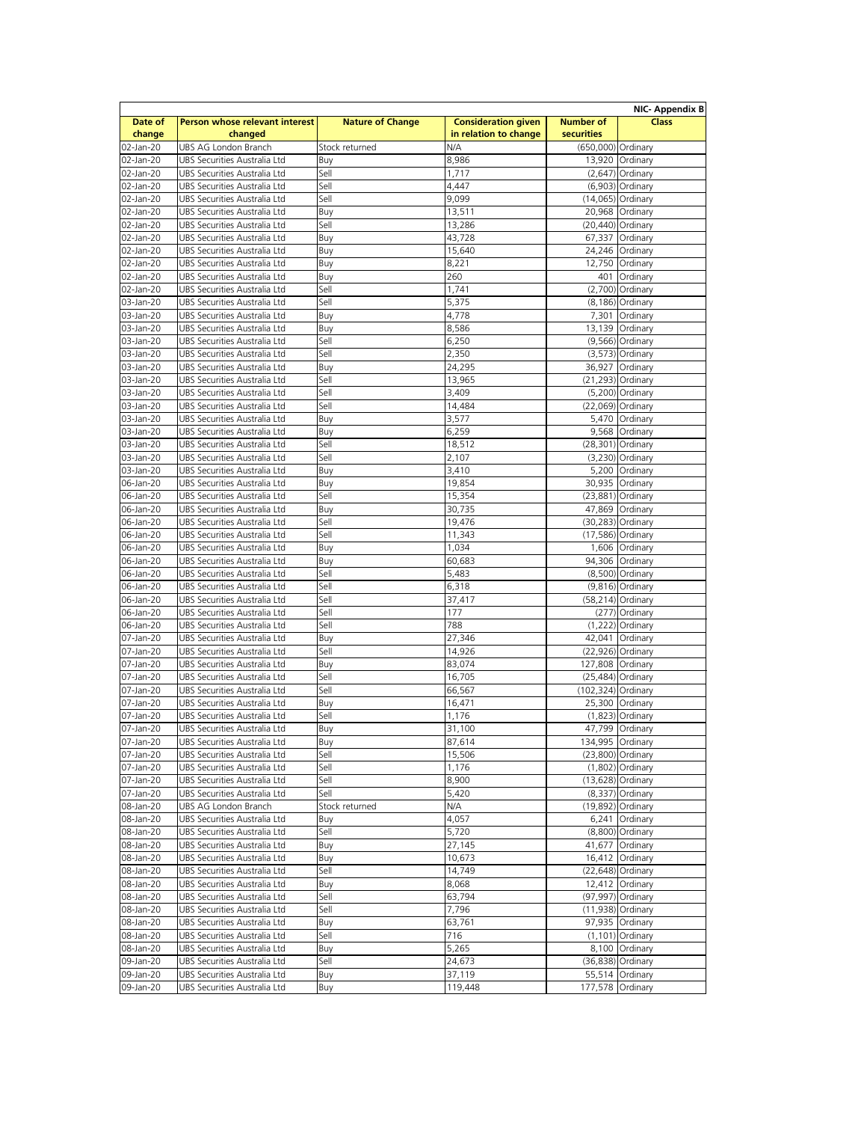| Date of   | Person whose relevant interest | <b>Nature of Change</b> | <b>Consideration given</b> | <b>Number of</b>   | <b>NIC- Appendix B</b><br><b>Class</b> |
|-----------|--------------------------------|-------------------------|----------------------------|--------------------|----------------------------------------|
| change    | changed                        |                         | in relation to change      | <b>securities</b>  |                                        |
| 02-Jan-20 | UBS AG London Branch           | Stock returned          | N/A                        | (650,000) Ordinary |                                        |
| 02-Jan-20 | UBS Securities Australia Ltd   | Buy                     | 8,986                      |                    | 13,920 Ordinary                        |
| 02-Jan-20 | UBS Securities Australia Ltd   | Sell                    | 1,717                      |                    | $(2,647)$ Ordinary                     |
| 02-Jan-20 | UBS Securities Australia Ltd   | Sell                    | 4,447                      |                    | (6,903) Ordinary                       |
|           | UBS Securities Australia Ltd   | Sell                    |                            |                    | (14,065) Ordinary                      |
| 02-Jan-20 |                                |                         | 9,099                      |                    |                                        |
| 02-Jan-20 | UBS Securities Australia Ltd   | Buy                     | 13,511                     |                    | 20,968 Ordinary                        |
| 02-Jan-20 | UBS Securities Australia Ltd   | Sell                    | 13,286                     |                    | (20,440) Ordinary                      |
| 02-Jan-20 | UBS Securities Australia Ltd   | Buy                     | 43,728                     | 67,337             | Ordinary                               |
| 02-Jan-20 | UBS Securities Australia Ltd   | Buy                     | 15,640                     |                    | 24,246 Ordinary                        |
| 02-Jan-20 | UBS Securities Australia Ltd   | Buy                     | 8,221                      |                    | 12,750 Ordinary                        |
| 02-Jan-20 | UBS Securities Australia Ltd   | Buy                     | 260                        | 401                | Ordinary                               |
| 02-Jan-20 | UBS Securities Australia Ltd   | Sell                    | 1,741                      |                    | (2,700) Ordinary                       |
| 03-Jan-20 | UBS Securities Australia Ltd   | Sell                    | 5,375                      |                    | (8,186) Ordinary                       |
| 03-Jan-20 | UBS Securities Australia Ltd   | Buy                     | 4,778                      |                    | 7,301 Ordinary                         |
| 03-Jan-20 | UBS Securities Australia Ltd   | Buy                     | 8,586                      |                    | 13,139 Ordinary                        |
| 03-Jan-20 | UBS Securities Australia Ltd   | Sell                    | 6,250                      |                    | (9,566) Ordinary                       |
| 03-Jan-20 | UBS Securities Australia Ltd   | Sell                    | 2,350                      |                    | $(3,573)$ Ordinary                     |
|           |                                |                         |                            |                    |                                        |
| 03-Jan-20 | UBS Securities Australia Ltd   | Buy                     | 24,295                     | 36,927             | Ordinary                               |
| 03-Jan-20 | UBS Securities Australia Ltd   | Sell                    | 13,965                     |                    | (21,293) Ordinary                      |
| 03-Jan-20 | UBS Securities Australia Ltd   | Sell                    | 3,409                      |                    | (5,200) Ordinary                       |
| 03-Jan-20 | UBS Securities Australia Ltd   | Sell                    | 14,484                     |                    | (22,069) Ordinary                      |
| 03-Jan-20 | UBS Securities Australia Ltd   | Buy                     | 3,577                      |                    | 5,470 Ordinary                         |
| 03-Jan-20 | UBS Securities Australia Ltd   | Buy                     | 6,259                      |                    | 9,568 Ordinary                         |
| 03-Jan-20 | UBS Securities Australia Ltd   | Sell                    | 18,512                     |                    | (28,301) Ordinary                      |
| 03-Jan-20 | UBS Securities Australia Ltd   | Sell                    | 2,107                      |                    | $(3,230)$ Ordinary                     |
| 03-Jan-20 | UBS Securities Australia Ltd   | Buy                     | 3,410                      |                    | 5,200 Ordinary                         |
| 06-Jan-20 | UBS Securities Australia Ltd   | Buy                     | 19,854                     |                    | 30,935 Ordinary                        |
| 06-Jan-20 | UBS Securities Australia Ltd   | Sell                    | 15,354                     |                    | (23,881) Ordinary                      |
|           | UBS Securities Australia Ltd   |                         |                            |                    |                                        |
| 06-Jan-20 |                                | Buy                     | 30,735                     |                    | 47,869 Ordinary                        |
| 06-Jan-20 | UBS Securities Australia Ltd   | Sell                    | 19,476                     |                    | (30,283) Ordinary                      |
| 06-Jan-20 | UBS Securities Australia Ltd   | Sell                    | 11,343                     |                    | (17,586) Ordinary                      |
| 06-Jan-20 | UBS Securities Australia Ltd   | Buy                     | 1,034                      |                    | 1,606 Ordinary                         |
| 06-Jan-20 | UBS Securities Australia Ltd   | Buy                     | 60,683                     |                    | 94,306 Ordinary                        |
| 06-Jan-20 | UBS Securities Australia Ltd   | Sell                    | 5,483                      |                    | (8,500) Ordinary                       |
| 06-Jan-20 | UBS Securities Australia Ltd   | Sell                    | 6,318                      |                    | $(9,816)$ Ordinary                     |
| 06-Jan-20 | UBS Securities Australia Ltd   | Sell                    | 37,417                     |                    | $(58,214)$ Ordinary                    |
| 06-Jan-20 | UBS Securities Australia Ltd   | Sell                    | 177                        |                    | (277) Ordinary                         |
| 06-Jan-20 | UBS Securities Australia Ltd   | Sell                    | 788                        |                    | $(1,222)$ Ordinary                     |
| 07-Jan-20 | UBS Securities Australia Ltd   | Buy                     | 27,346                     |                    | 42,041 Ordinary                        |
| 07-Jan-20 | UBS Securities Australia Ltd   | Sell                    | 14,926                     |                    | $(22,926)$ Ordinary                    |
|           |                                |                         |                            |                    |                                        |
| 07-Jan-20 | UBS Securities Australia Ltd   | Buy                     | 83,074                     | 127,808 Ordinary   |                                        |
| 07-Jan-20 | UBS Securities Australia Ltd   | Sell                    | 16,705                     |                    | $(25,484)$ Ordinary                    |
| 07-Jan-20 | UBS Securities Australia Ltd   | Sell                    | 66,567                     | (102,324) Ordinary |                                        |
| 07-Jan-20 | UBS Securities Australia Ltd   | Buy                     | 16,471                     |                    | 25,300 Ordinary                        |
| 07-Jan-20 | UBS Securities Australia Ltd   | Sell                    | 1,176                      |                    | $(1,823)$ Ordinary                     |
| 07-Jan-20 | UBS Securities Australia Ltd   | Buy                     | 31,100                     |                    | 47,799 Ordinary                        |
| 07-Jan-20 | UBS Securities Australia Ltd   | Buy                     | 87,614                     | 134,995 Ordinary   |                                        |
| 07-Jan-20 | UBS Securities Australia Ltd   | Sell                    | 15,506                     |                    | (23,800) Ordinary                      |
| 07-Jan-20 | UBS Securities Australia Ltd   | Sell                    | 1,176                      |                    | $(1,802)$ Ordinary                     |
| 07-Jan-20 | UBS Securities Australia Ltd   | Sell                    | 8,900                      |                    | $(13,628)$ Ordinary                    |
| 07-Jan-20 | UBS Securities Australia Ltd   | Sell                    | 5,420                      |                    | $(8,337)$ Ordinary                     |
| 08-Jan-20 | UBS AG London Branch           | Stock returned          | N/A                        |                    | (19,892) Ordinary                      |
|           | UBS Securities Australia Ltd   |                         |                            |                    |                                        |
| 08-Jan-20 |                                | Buy                     | 4,057                      |                    | 6,241 Ordinary                         |
| 08-Jan-20 | UBS Securities Australia Ltd   | Sell                    | 5,720                      |                    | (8,800) Ordinary                       |
| 08-Jan-20 | UBS Securities Australia Ltd   | Buy                     | 27,145                     |                    | 41,677 Ordinary                        |
| 08-Jan-20 | UBS Securities Australia Ltd   | Buy                     | 10,673                     |                    | 16,412 Ordinary                        |
| 08-Jan-20 | UBS Securities Australia Ltd   | Sell                    | 14,749                     |                    | $(22, 648)$ Ordinary                   |
| 08-Jan-20 | UBS Securities Australia Ltd   | Buy                     | 8,068                      |                    | 12,412 Ordinary                        |
| 08-Jan-20 | UBS Securities Australia Ltd   | Sell                    | 63,794                     |                    | (97,997) Ordinary                      |
| 08-Jan-20 | UBS Securities Australia Ltd   | Sell                    | 7,796                      |                    | (11,938) Ordinary                      |
| 08-Jan-20 | UBS Securities Australia Ltd   | Buy                     | 63,761                     |                    | 97,935 Ordinary                        |
| 08-Jan-20 | UBS Securities Australia Ltd   | Sell                    | 716                        |                    | $(1, 101)$ Ordinary                    |
| 08-Jan-20 | UBS Securities Australia Ltd   | Buy                     | 5,265                      |                    | 8,100 Ordinary                         |
| 09-Jan-20 |                                | Sell                    |                            |                    |                                        |
|           | UBS Securities Australia Ltd   |                         | 24,673                     |                    | (36,838) Ordinary                      |
| 09-Jan-20 | UBS Securities Australia Ltd   | Buy<br>Buy              | 37,119                     |                    | 55,514 Ordinary<br>177,578 Ordinary    |
| 09-Jan-20 | UBS Securities Australia Ltd   |                         | 119,448                    |                    |                                        |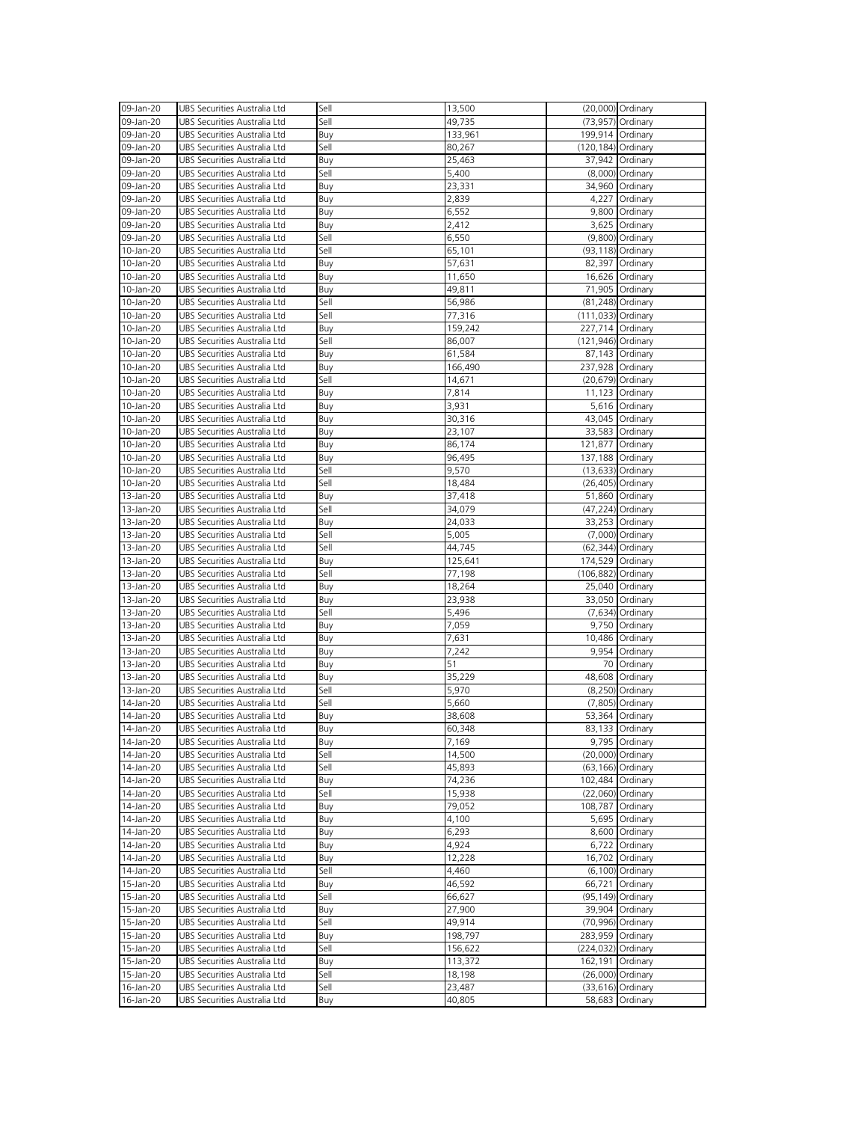| 09-Jan-20              | UBS Securities Australia Ltd                                 | Sell        | 13,500           |                       | (20,000) Ordinary                      |
|------------------------|--------------------------------------------------------------|-------------|------------------|-----------------------|----------------------------------------|
|                        |                                                              |             |                  |                       |                                        |
| 09-Jan-20              | UBS Securities Australia Ltd                                 | Sell        | 49,735           |                       | (73,957) Ordinary                      |
| 09-Jan-20              | UBS Securities Australia Ltd                                 | Buy         | 133,961          | 199,914 Ordinary      |                                        |
| 09-Jan-20              | UBS Securities Australia Ltd                                 | Sell        | 80,267           | $(120, 184)$ Ordinary |                                        |
| 09-Jan-20              | UBS Securities Australia Ltd                                 | Buy         | 25,463           |                       | 37,942 Ordinary                        |
| 09-Jan-20              | UBS Securities Australia Ltd                                 | Sell        | 5,400            |                       | (8,000) Ordinary                       |
|                        |                                                              |             |                  |                       |                                        |
| 09-Jan-20              | UBS Securities Australia Ltd                                 | Buy         | 23,331           |                       | 34,960 Ordinary                        |
| 09-Jan-20              | UBS Securities Australia Ltd                                 | Buy         | 2,839            |                       | 4,227 Ordinary                         |
| 09-Jan-20              | UBS Securities Australia Ltd                                 | Buy         | 6,552            |                       | 9,800 Ordinary                         |
| 09-Jan-20              | UBS Securities Australia Ltd                                 | Buy         | 2,412            |                       | 3,625 Ordinary                         |
| 09-Jan-20              | UBS Securities Australia Ltd                                 | Sell        | 6,550            |                       | (9,800) Ordinary                       |
|                        |                                                              |             |                  |                       |                                        |
| 10-Jan-20              | UBS Securities Australia Ltd                                 | Sell        | 65,101           |                       | (93,118) Ordinary                      |
| 10-Jan-20              | UBS Securities Australia Ltd                                 | Buy         | 57,631           |                       | 82,397 Ordinary                        |
| 10-Jan-20              | UBS Securities Australia Ltd                                 | Buy         | 11,650           |                       | 16,626 Ordinary                        |
| 10-Jan-20              | UBS Securities Australia Ltd                                 | Buy         | 49,811           |                       | 71,905 Ordinary                        |
| 10-Jan-20              | UBS Securities Australia Ltd                                 | Sell        | 56,986           |                       | (81,248) Ordinary                      |
|                        |                                                              |             |                  |                       |                                        |
| 10-Jan-20              | UBS Securities Australia Ltd                                 | Sell        | 77,316           | (111,033) Ordinary    |                                        |
| 10-Jan-20              | UBS Securities Australia Ltd                                 | Buy         | 159,242          | 227,714 Ordinary      |                                        |
| 10-Jan-20              | UBS Securities Australia Ltd                                 | Sell        | 86,007           | (121,946) Ordinary    |                                        |
| 10-Jan-20              | UBS Securities Australia Ltd                                 | Buy         | 61,584           |                       | 87,143 Ordinary                        |
|                        |                                                              |             |                  |                       |                                        |
| 10-Jan-20              | UBS Securities Australia Ltd                                 | Buy         | 166,490          | 237,928 Ordinary      |                                        |
| 10-Jan-20              | UBS Securities Australia Ltd                                 | Sell        | 14,671           |                       | (20,679) Ordinary                      |
| 10-Jan-20              | UBS Securities Australia Ltd                                 | Buy         | 7,814            |                       | 11,123 Ordinary                        |
| 10-Jan-20              | UBS Securities Australia Ltd                                 | Buy         | 3,931            |                       | 5,616 Ordinary                         |
| 10-Jan-20              | UBS Securities Australia Ltd                                 | Buy         | 30,316           |                       | 43,045 Ordinary                        |
|                        |                                                              |             |                  |                       |                                        |
| 10-Jan-20              | UBS Securities Australia Ltd                                 | Buy         | 23,107           |                       | 33,583 Ordinary                        |
| 10-Jan-20              | UBS Securities Australia Ltd                                 | Buy         | 86,174           | 121,877 Ordinary      |                                        |
| 10-Jan-20              | UBS Securities Australia Ltd                                 | Buy         | 96,495           | 137,188 Ordinary      |                                        |
| 10-Jan-20              | UBS Securities Australia Ltd                                 | Sell        | 9,570            |                       | (13,633) Ordinary                      |
|                        | UBS Securities Australia Ltd                                 | Sell        |                  |                       |                                        |
| 10-Jan-20              |                                                              |             | 18,484           |                       | (26,405) Ordinary                      |
| 13-Jan-20              | UBS Securities Australia Ltd                                 | Buy         | 37,418           |                       | 51,860 Ordinary                        |
| 13-Jan-20              | UBS Securities Australia Ltd                                 | Sell        | 34,079           |                       | (47,224) Ordinary                      |
| 13-Jan-20              | UBS Securities Australia Ltd                                 | Buy         | 24,033           |                       | 33,253 Ordinary                        |
| 13-Jan-20              | UBS Securities Australia Ltd                                 | Sell        | 5,005            |                       | (7,000) Ordinary                       |
|                        |                                                              |             |                  |                       |                                        |
|                        |                                                              |             |                  |                       |                                        |
| 13-Jan-20              | UBS Securities Australia Ltd                                 | Sell        | 44,745           |                       | (62,344) Ordinary                      |
| 13-Jan-20              | UBS Securities Australia Ltd                                 | Buy         | 125,641          | 174,529 Ordinary      |                                        |
| 13-Jan-20              | UBS Securities Australia Ltd                                 | Sell        | 77,198           | (106,882) Ordinary    |                                        |
|                        |                                                              |             |                  |                       |                                        |
| 13-Jan-20              | UBS Securities Australia Ltd                                 | Buy         | 18,264           |                       | 25,040 Ordinary                        |
| 13-Jan-20              | UBS Securities Australia Ltd                                 | Buy         | 23,938           |                       | 33,050 Ordinary                        |
| 13-Jan-20              | UBS Securities Australia Ltd                                 | Sell        | 5,496            |                       | $(7,634)$ Ordinary                     |
| 13-Jan-20              | UBS Securities Australia Ltd                                 | Buy         | 7,059            |                       | 9,750 Ordinary                         |
| 13-Jan-20              | UBS Securities Australia Ltd                                 |             | 7,631            |                       | 10,486 Ordinary                        |
|                        |                                                              | Buy         |                  |                       |                                        |
| 13-Jan-20              | UBS Securities Australia Ltd                                 | Buy         | 7,242            |                       | 9,954 Ordinary                         |
| 13-Jan-20              | UBS Securities Australia Ltd                                 | Buy         | 51               |                       | 70 Ordinary                            |
| 13-Jan-20              | UBS Securities Australia Ltd                                 | Buy         | 35,229           |                       | 48,608 Ordinary                        |
| 13-Jan-20              | UBS Securities Australia Ltd                                 | Sell        | 5,970            |                       | (8,250) Ordinary                       |
| 14-Jan-20              | UBS Securities Australia Ltd                                 | Sell        |                  |                       |                                        |
|                        |                                                              |             | 5,660            |                       | $(7,805)$ Ordinary                     |
| 14-Jan-20              | UBS Securities Australia Ltd                                 | Buy         | 38,608           |                       | 53,364 Ordinary                        |
| 14-Jan-20              | UBS Securities Australia Ltd                                 | Buy         | 60,348           |                       | 83,133 Ordinary                        |
| 14-Jan-20              | UBS Securities Australia Ltd                                 | Buy         | 7,169            |                       | 9,795 Ordinary                         |
| 14-Jan-20              | UBS Securities Australia Ltd                                 | Sell        | 14,500           |                       | (20,000) Ordinary                      |
| 14-Jan-20              | UBS Securities Australia Ltd                                 | Sell        | 45,893           |                       | (63,166) Ordinary                      |
|                        |                                                              |             |                  |                       |                                        |
| 14-Jan-20              | UBS Securities Australia Ltd                                 | Buy         | 74,236           |                       | 102,484 Ordinary                       |
| 14-Jan-20              | UBS Securities Australia Ltd                                 | Sell        | 15,938           |                       | (22,060) Ordinary                      |
| 14-Jan-20              | UBS Securities Australia Ltd                                 | Buy         | 79,052           |                       | 108,787 Ordinary                       |
| 14-Jan-20              | UBS Securities Australia Ltd                                 | Buy         | 4,100            |                       | 5,695 Ordinary                         |
| 14-Jan-20              | UBS Securities Australia Ltd                                 |             |                  |                       | 8,600 Ordinary                         |
|                        |                                                              | Buy         | 6,293            |                       |                                        |
| 14-Jan-20              | UBS Securities Australia Ltd                                 | Buy         | 4,924            |                       | 6,722 Ordinary                         |
| 14-Jan-20              | UBS Securities Australia Ltd                                 | Buy         | 12,228           |                       | 16,702 Ordinary                        |
| 14-Jan-20              | UBS Securities Australia Ltd                                 | Sell        | 4,460            |                       | (6,100) Ordinary                       |
| 15-Jan-20              | UBS Securities Australia Ltd                                 | Buy         | 46,592           |                       | 66,721 Ordinary                        |
|                        |                                                              |             |                  |                       |                                        |
| 15-Jan-20              | UBS Securities Australia Ltd                                 | Sell        | 66,627           |                       | (95,149) Ordinary                      |
| 15-Jan-20              | UBS Securities Australia Ltd                                 | Buy         | 27,900           |                       | 39,904 Ordinary                        |
| 15-Jan-20              | UBS Securities Australia Ltd                                 | Sell        | 49,914           |                       | (70,996) Ordinary                      |
| 15-Jan-20              | UBS Securities Australia Ltd                                 | Buy         | 198,797          | 283,959 Ordinary      |                                        |
| 15-Jan-20              | UBS Securities Australia Ltd                                 | Sell        | 156,622          | (224,032) Ordinary    |                                        |
|                        |                                                              |             |                  |                       |                                        |
| 15-Jan-20              | UBS Securities Australia Ltd                                 | Buy         | 113,372          | 162,191 Ordinary      |                                        |
| 15-Jan-20              | UBS Securities Australia Ltd                                 | Sell        | 18,198           |                       | (26,000) Ordinary                      |
| 16-Jan-20<br>16-Jan-20 | UBS Securities Australia Ltd<br>UBS Securities Australia Ltd | Sell<br>Buy | 23,487<br>40,805 |                       | $(33,616)$ Ordinary<br>58,683 Ordinary |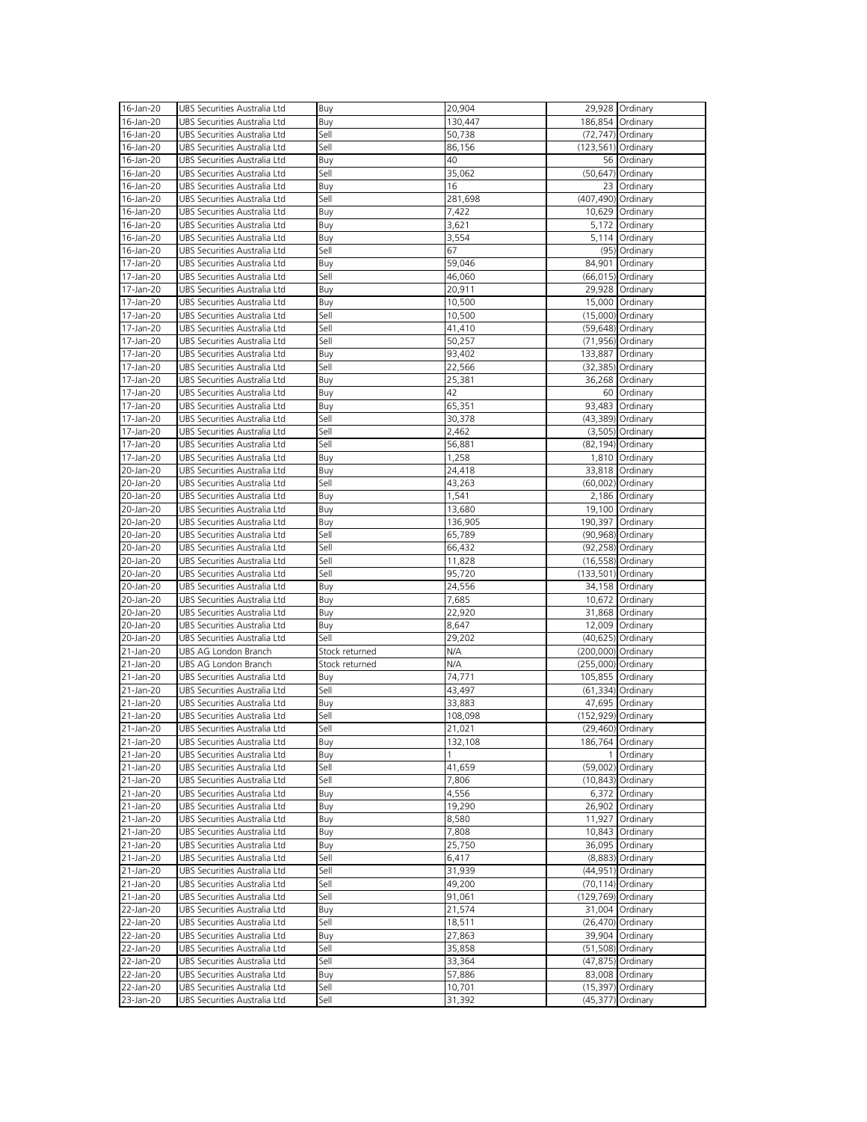| 16-Jan-20 | UBS Securities Australia Ltd | Buy            | 20,904  |                      | 29,928 Ordinary      |
|-----------|------------------------------|----------------|---------|----------------------|----------------------|
| 16-Jan-20 | UBS Securities Australia Ltd |                | 130,447 |                      | 186,854 Ordinary     |
|           |                              | Buy            |         |                      |                      |
| 16-Jan-20 | UBS Securities Australia Ltd | Sell           | 50,738  |                      | $(72, 747)$ Ordinary |
| 16-Jan-20 | UBS Securities Australia Ltd | Sell           | 86,156  | $(123,561)$ Ordinary |                      |
| 16-Jan-20 | UBS Securities Australia Ltd | Buy            | 40      |                      | 56 Ordinary          |
| 16-Jan-20 | UBS Securities Australia Ltd | Sell           | 35,062  |                      | (50,647) Ordinary    |
| 16-Jan-20 | UBS Securities Australia Ltd | Buy            | 16      |                      | 23 Ordinary          |
| 16-Jan-20 | UBS Securities Australia Ltd | Sell           | 281,698 | (407,490) Ordinary   |                      |
|           |                              |                |         |                      |                      |
| 16-Jan-20 | UBS Securities Australia Ltd | Buy            | 7,422   |                      | 10,629 Ordinary      |
| 16-Jan-20 | UBS Securities Australia Ltd | Buy            | 3,621   |                      | 5,172 Ordinary       |
| 16-Jan-20 | UBS Securities Australia Ltd | Buy            | 3,554   |                      | 5,114 Ordinary       |
| 16-Jan-20 | UBS Securities Australia Ltd | Sell           | 67      |                      | (95) Ordinary        |
| 17-Jan-20 | UBS Securities Australia Ltd | Buy            | 59,046  |                      | 84,901 Ordinary      |
| 17-Jan-20 | UBS Securities Australia Ltd | Sell           | 46,060  |                      | (66,015) Ordinary    |
|           |                              |                |         |                      |                      |
| 17-Jan-20 | UBS Securities Australia Ltd | Buy            | 20,911  |                      | 29,928 Ordinary      |
| 17-Jan-20 | UBS Securities Australia Ltd | Buy            | 10,500  |                      | 15,000 Ordinary      |
| 17-Jan-20 | UBS Securities Australia Ltd | Sell           | 10,500  |                      | (15,000) Ordinary    |
| 17-Jan-20 | UBS Securities Australia Ltd | Sell           | 41,410  |                      | (59,648) Ordinary    |
| 17-Jan-20 | UBS Securities Australia Ltd | Sell           | 50,257  |                      | (71,956) Ordinary    |
| 17-Jan-20 | UBS Securities Australia Ltd |                | 93,402  |                      | 133,887 Ordinary     |
|           |                              | Buy            |         |                      |                      |
| 17-Jan-20 | UBS Securities Australia Ltd | Sell           | 22,566  |                      | (32,385) Ordinary    |
| 17-Jan-20 | UBS Securities Australia Ltd | Buy            | 25,381  |                      | 36,268 Ordinary      |
| 17-Jan-20 | UBS Securities Australia Ltd | Buy            | 42      |                      | 60 Ordinary          |
| 17-Jan-20 | UBS Securities Australia Ltd | Buy            | 65,351  |                      | 93,483 Ordinary      |
| 17-Jan-20 | UBS Securities Australia Ltd | Sell           | 30,378  |                      | (43,389) Ordinary    |
| 17-Jan-20 | UBS Securities Australia Ltd | Sell           | 2,462   |                      | $(3,505)$ Ordinary   |
|           |                              |                |         |                      |                      |
| 17-Jan-20 | UBS Securities Australia Ltd | Sell           | 56,881  |                      | (82,194) Ordinary    |
| 17-Jan-20 | UBS Securities Australia Ltd | Buy            | 1,258   |                      | 1,810 Ordinary       |
| 20-Jan-20 | UBS Securities Australia Ltd | Buy            | 24,418  |                      | 33,818 Ordinary      |
| 20-Jan-20 | UBS Securities Australia Ltd | Sell           | 43,263  |                      | (60,002) Ordinary    |
| 20-Jan-20 | UBS Securities Australia Ltd | Buy            | 1,541   |                      | 2,186 Ordinary       |
| 20-Jan-20 | UBS Securities Australia Ltd | Buy            | 13,680  |                      | 19,100 Ordinary      |
|           |                              |                |         |                      |                      |
| 20-Jan-20 | UBS Securities Australia Ltd | Buy            | 136,905 |                      | 190,397 Ordinary     |
| 20-Jan-20 | UBS Securities Australia Ltd | Sell           | 65,789  |                      | (90,968) Ordinary    |
| 20-Jan-20 | UBS Securities Australia Ltd | Sell           | 66,432  |                      | (92,258) Ordinary    |
| 20-Jan-20 | UBS Securities Australia Ltd | Sell           | 11,828  |                      | (16,558) Ordinary    |
| 20-Jan-20 | UBS Securities Australia Ltd | Sell           | 95,720  | $(133,501)$ Ordinary |                      |
| 20-Jan-20 | UBS Securities Australia Ltd | Buy            | 24,556  |                      | 34,158 Ordinary      |
|           |                              |                |         |                      |                      |
| 20-Jan-20 | UBS Securities Australia Ltd | Buy            | 7,685   |                      | 10,672 Ordinary      |
| 20-Jan-20 | UBS Securities Australia Ltd | Buy            | 22,920  |                      | 31,868 Ordinary      |
| 20-Jan-20 | UBS Securities Australia Ltd | Buy            | 8,647   |                      | 12,009 Ordinary      |
| 20-Jan-20 | UBS Securities Australia Ltd | Sell           | 29,202  |                      | (40,625) Ordinary    |
| 21-Jan-20 | UBS AG London Branch         | Stock returned | N/A     | (200,000) Ordinary   |                      |
| 21-Jan-20 | UBS AG London Branch         | Stock returned | N/A     | (255,000) Ordinary   |                      |
|           |                              |                |         |                      |                      |
| 21-Jan-20 | UBS Securities Australia Ltd | Buy            | 74,771  |                      | 105,855 Ordinary     |
| 21-Jan-20 | UBS Securities Australia Ltd | Sell           | 43,497  |                      | (61,334) Ordinary    |
| 21-Jan-20 | UBS Securities Australia Ltd | Buy            | 33,883  |                      | 47,695 Ordinary      |
| 21-Jan-20 | UBS Securities Australia Ltd | Sell           | 108,098 | (152,929) Ordinary   |                      |
| 21-Jan-20 | UBS Securities Australia Ltd | Sell           | 21,021  |                      | (29,460) Ordinary    |
| 21-Jan-20 | UBS Securities Australia Ltd | Buy            | 132,108 |                      | 186,764 Ordinary     |
| 21-Jan-20 | UBS Securities Australia Ltd | Buy            |         |                      | 1 Ordinary           |
|           |                              |                |         |                      |                      |
| 21-Jan-20 | UBS Securities Australia Ltd | Sell           | 41,659  |                      | (59,002) Ordinary    |
| 21-Jan-20 | UBS Securities Australia Ltd | Sell           | 7,806   |                      | $(10, 843)$ Ordinary |
| 21-Jan-20 | UBS Securities Australia Ltd | Buy            | 4,556   |                      | 6,372 Ordinary       |
| 21-Jan-20 | UBS Securities Australia Ltd | Buy            | 19,290  |                      | 26,902 Ordinary      |
| 21-Jan-20 | UBS Securities Australia Ltd | Buy            | 8,580   |                      | 11,927 Ordinary      |
| 21-Jan-20 | UBS Securities Australia Ltd | Buy            | 7,808   |                      | 10,843 Ordinary      |
|           |                              |                |         |                      |                      |
| 21-Jan-20 | UBS Securities Australia Ltd | Buy            | 25,750  |                      | 36,095 Ordinary      |
| 21-Jan-20 | UBS Securities Australia Ltd | Sell           | 6,417   |                      | $(8,883)$ Ordinary   |
| 21-Jan-20 | UBS Securities Australia Ltd | Sell           | 31,939  |                      | (44,951) Ordinary    |
| 21-Jan-20 | UBS Securities Australia Ltd | Sell           | 49,200  |                      | (70,114) Ordinary    |
| 21-Jan-20 | UBS Securities Australia Ltd | Sell           | 91,061  | (129,769) Ordinary   |                      |
| 22-Jan-20 | UBS Securities Australia Ltd | Buy            | 21,574  |                      | 31,004 Ordinary      |
|           |                              |                |         |                      |                      |
| 22-Jan-20 | UBS Securities Australia Ltd | Sell           | 18,511  |                      | (26,470) Ordinary    |
| 22-Jan-20 | UBS Securities Australia Ltd | Buy            | 27,863  |                      | 39,904 Ordinary      |
| 22-Jan-20 | UBS Securities Australia Ltd | Sell           | 35,858  |                      | (51,508) Ordinary    |
| 22-Jan-20 | UBS Securities Australia Ltd | Sell           | 33,364  |                      | (47,875) Ordinary    |
| 22-Jan-20 | UBS Securities Australia Ltd | Buy            | 57,886  |                      | 83,008 Ordinary      |
| 22-Jan-20 | UBS Securities Australia Ltd | Sell           | 10,701  |                      | $(15,397)$ Ordinary  |
|           |                              |                |         |                      |                      |
| 23-Jan-20 | UBS Securities Australia Ltd | Sell           | 31,392  |                      | (45,377) Ordinary    |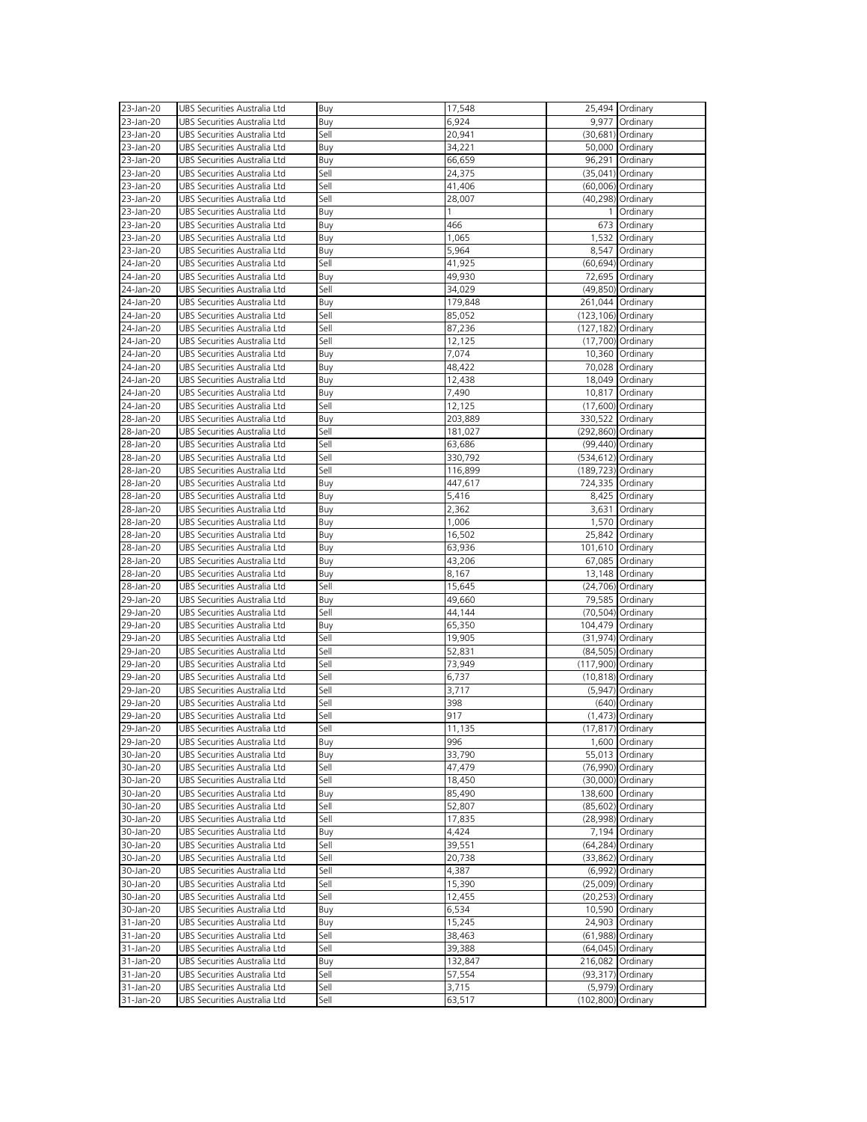| 23-Jan-20 | UBS Securities Australia Ltd | <b>Buy</b> | 17,548  |                    | 25,494 Ordinary      |
|-----------|------------------------------|------------|---------|--------------------|----------------------|
| 23-Jan-20 | UBS Securities Australia Ltd | Buy        | 6,924   |                    | 9,977 Ordinary       |
| 23-Jan-20 | UBS Securities Australia Ltd | Sell       | 20,941  |                    | (30,681) Ordinary    |
| 23-Jan-20 | UBS Securities Australia Ltd | Buy        | 34,221  |                    | 50,000 Ordinary      |
|           | UBS Securities Australia Ltd |            |         |                    |                      |
| 23-Jan-20 |                              | Buy        | 66,659  |                    | 96,291 Ordinary      |
| 23-Jan-20 | UBS Securities Australia Ltd | Sell       | 24,375  |                    | (35,041) Ordinary    |
| 23-Jan-20 | UBS Securities Australia Ltd | Sell       | 41,406  |                    | (60,006) Ordinary    |
| 23-Jan-20 | UBS Securities Australia Ltd | Sell       | 28,007  |                    | (40,298) Ordinary    |
| 23-Jan-20 | UBS Securities Australia Ltd | Buy        |         | $\mathbf{1}$       | Ordinary             |
| 23-Jan-20 | UBS Securities Australia Ltd | Buy        | 466     |                    | 673 Ordinary         |
| 23-Jan-20 | UBS Securities Australia Ltd | Buy        | 1,065   |                    | 1,532 Ordinary       |
| 23-Jan-20 | UBS Securities Australia Ltd | Buy        | 5,964   |                    | 8,547 Ordinary       |
| 24-Jan-20 | UBS Securities Australia Ltd | Sell       | 41,925  |                    | (60,694) Ordinary    |
| 24-Jan-20 | UBS Securities Australia Ltd | Buy        | 49,930  |                    | 72,695 Ordinary      |
| 24-Jan-20 | UBS Securities Australia Ltd | Sell       | 34,029  |                    | (49,850) Ordinary    |
| 24-Jan-20 | UBS Securities Australia Ltd | Buy        | 179,848 |                    | 261,044 Ordinary     |
| 24-Jan-20 | UBS Securities Australia Ltd | Sell       | 85,052  | (123,106) Ordinary |                      |
| 24-Jan-20 | UBS Securities Australia Ltd | Sell       | 87,236  | (127,182) Ordinary |                      |
| 24-Jan-20 | UBS Securities Australia Ltd | Sell       | 12,125  |                    | (17,700) Ordinary    |
| 24-Jan-20 | UBS Securities Australia Ltd | Buy        | 7,074   |                    | 10,360 Ordinary      |
| 24-Jan-20 | UBS Securities Australia Ltd | Buy        | 48,422  |                    | 70,028 Ordinary      |
| 24-Jan-20 | UBS Securities Australia Ltd | Buy        | 12,438  |                    | 18,049 Ordinary      |
|           | UBS Securities Australia Ltd |            |         |                    | 10,817 Ordinary      |
| 24-Jan-20 |                              | Buy        | 7,490   |                    |                      |
| 24-Jan-20 | UBS Securities Australia Ltd | Sell       | 12,125  |                    | (17,600) Ordinary    |
| 28-Jan-20 | UBS Securities Australia Ltd | Buy        | 203,889 | 330,522 Ordinary   |                      |
| 28-Jan-20 | UBS Securities Australia Ltd | Sell       | 181,027 | (292,860) Ordinary |                      |
| 28-Jan-20 | UBS Securities Australia Ltd | Sell       | 63,686  |                    | (99,440) Ordinary    |
| 28-Jan-20 | UBS Securities Australia Ltd | Sell       | 330,792 | (534,612) Ordinary |                      |
| 28-Jan-20 | UBS Securities Australia Ltd | Sell       | 116,899 | (189,723) Ordinary |                      |
| 28-Jan-20 | UBS Securities Australia Ltd | Buy        | 447,617 |                    | 724,335 Ordinary     |
| 28-Jan-20 | UBS Securities Australia Ltd | Buy        | 5,416   |                    | 8,425 Ordinary       |
| 28-Jan-20 | UBS Securities Australia Ltd | Buy        | 2,362   |                    | 3,631 Ordinary       |
| 28-Jan-20 | UBS Securities Australia Ltd | Buy        | 1,006   |                    | 1,570 Ordinary       |
| 28-Jan-20 | UBS Securities Australia Ltd | Buy        | 16,502  |                    | 25,842 Ordinary      |
| 28-Jan-20 | UBS Securities Australia Ltd | Buy        | 63,936  |                    | 101,610 Ordinary     |
| 28-Jan-20 | UBS Securities Australia Ltd | Buy        | 43,206  |                    | 67,085 Ordinary      |
| 28-Jan-20 | UBS Securities Australia Ltd | Buy        | 8,167   |                    | 13,148 Ordinary      |
| 28-Jan-20 | UBS Securities Australia Ltd | Sell       | 15,645  |                    | (24,706) Ordinary    |
| 29-Jan-20 | UBS Securities Australia Ltd | Buy        | 49,660  |                    | 79,585 Ordinary      |
| 29-Jan-20 | UBS Securities Australia Ltd | Sell       | 44,144  |                    | (70,504) Ordinary    |
| 29-Jan-20 | UBS Securities Australia Ltd | Buy        | 65,350  |                    | 104,479 Ordinary     |
| 29-Jan-20 | UBS Securities Australia Ltd | Sell       | 19,905  |                    | $(31, 974)$ Ordinary |
| 29-Jan-20 | UBS Securities Australia Ltd | Sell       | 52,831  |                    | (84,505) Ordinary    |
| 29-Jan-20 | UBS Securities Australia Ltd | Sell       | 73,949  | (117,900) Ordinary |                      |
| 29-Jan-20 | UBS Securities Australia Ltd | Sell       | 6,737   |                    | $(10, 818)$ Ordinary |
|           | UBS Securities Australia Ltd | Sell       |         |                    |                      |
| 29-Jan-20 |                              |            | 3,717   |                    | $(5,947)$ Ordinary   |
| 29-Jan-20 | UBS Securities Australia Ltd | Sell       | 398     |                    | (640) Ordinary       |
| 29-Jan-20 | UBS Securities Australia Ltd | Sell       | 917     |                    | $(1,473)$ Ordinary   |
| 29-Jan-20 | UBS Securities Australia Ltd | Sell       | 11,135  |                    | $(17, 817)$ Ordinary |
| 29-Jan-20 | UBS Securities Australia Ltd | Buy        | 996     |                    | 1,600 Ordinary       |
| 30-Jan-20 | UBS Securities Australia Ltd | Buy        | 33,790  |                    | 55,013 Ordinary      |
| 30-Jan-20 | UBS Securities Australia Ltd | Sell       | 47,479  |                    | (76,990) Ordinary    |
| 30-Jan-20 | UBS Securities Australia Ltd | Sell       | 18,450  |                    | (30,000) Ordinary    |
| 30-Jan-20 | UBS Securities Australia Ltd | Buy        | 85,490  |                    | 138,600 Ordinary     |
| 30-Jan-20 | UBS Securities Australia Ltd | Sell       | 52,807  |                    | (85,602) Ordinary    |
| 30-Jan-20 | UBS Securities Australia Ltd | Sell       | 17,835  |                    | (28,998) Ordinary    |
| 30-Jan-20 | UBS Securities Australia Ltd | Buy        | 4,424   |                    | 7,194 Ordinary       |
| 30-Jan-20 | UBS Securities Australia Ltd | Sell       | 39,551  |                    | (64,284) Ordinary    |
| 30-Jan-20 | UBS Securities Australia Ltd | Sell       | 20,738  |                    | $(33,862)$ Ordinary  |
| 30-Jan-20 | UBS Securities Australia Ltd | Sell       | 4,387   |                    | $(6,992)$ Ordinary   |
| 30-Jan-20 | UBS Securities Australia Ltd | Sell       | 15,390  |                    | (25,009) Ordinary    |
| 30-Jan-20 | UBS Securities Australia Ltd | Sell       | 12,455  |                    | $(20, 253)$ Ordinary |
| 30-Jan-20 | UBS Securities Australia Ltd | Buy        | 6,534   |                    | 10,590 Ordinary      |
| 31-Jan-20 | UBS Securities Australia Ltd | Buy        | 15,245  |                    | 24,903 Ordinary      |
| 31-Jan-20 | UBS Securities Australia Ltd | Sell       | 38,463  |                    | (61,988) Ordinary    |
| 31-Jan-20 | UBS Securities Australia Ltd | Sell       | 39,388  |                    | (64,045) Ordinary    |
| 31-Jan-20 | UBS Securities Australia Ltd | Buy        | 132,847 | 216,082 Ordinary   |                      |
| 31-Jan-20 | UBS Securities Australia Ltd | Sell       | 57,554  |                    | (93,317) Ordinary    |
|           | UBS Securities Australia Ltd | Sell       |         |                    | (5,979) Ordinary     |
| 31-Jan-20 |                              |            | 3,715   |                    |                      |
| 31-Jan-20 | UBS Securities Australia Ltd | Sell       | 63,517  | (102,800) Ordinary |                      |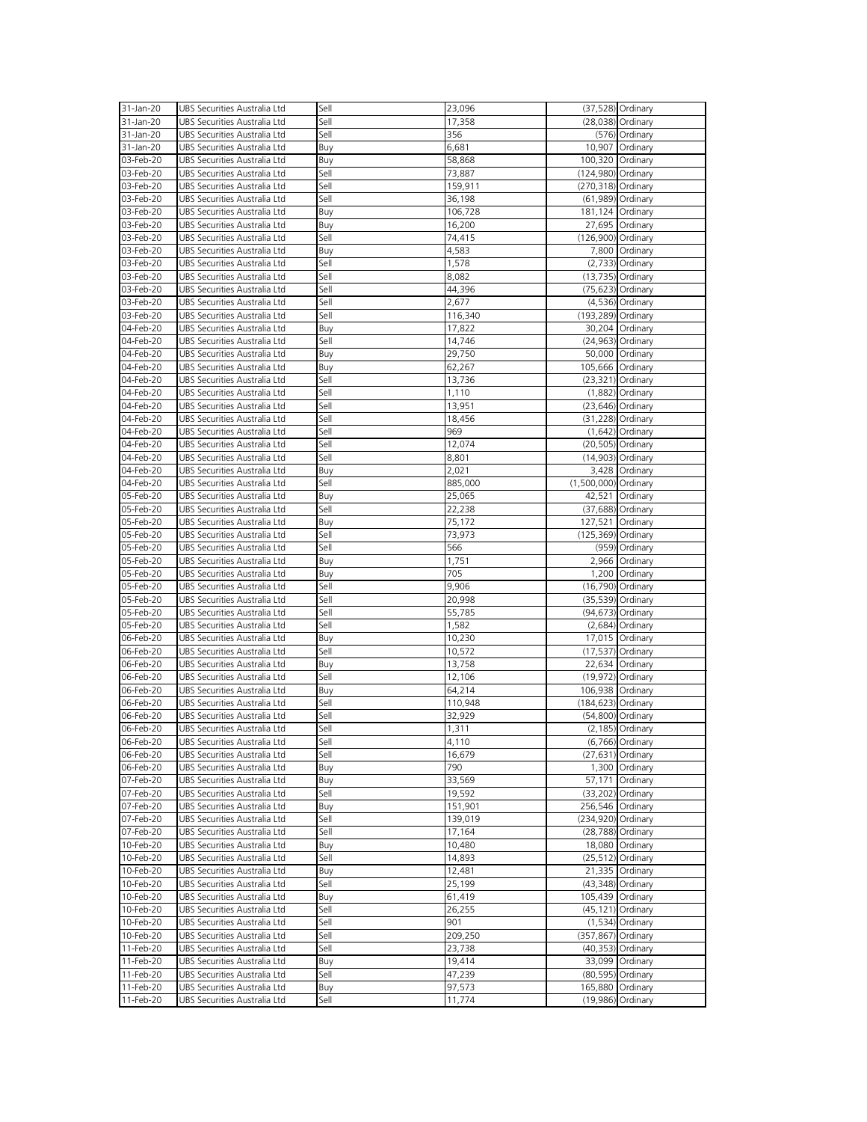| 31-Jan-20              | UBS Securities Australia Ltd                                 | Sell        | 23,096           |                      | (37,528) Ordinary    |
|------------------------|--------------------------------------------------------------|-------------|------------------|----------------------|----------------------|
|                        | UBS Securities Australia Ltd                                 | Sell        |                  |                      |                      |
| 31-Jan-20              |                                                              |             | 17,358           |                      | (28,038) Ordinary    |
| 31-Jan-20              | UBS Securities Australia Ltd                                 | Sell        | 356              |                      | (576) Ordinary       |
| 31-Jan-20              | UBS Securities Australia Ltd                                 | <b>Buy</b>  | 6,681            |                      | 10,907 Ordinary      |
| 03-Feb-20              | UBS Securities Australia Ltd                                 | Buy         | 58,868           | 100,320 Ordinary     |                      |
| 03-Feb-20              | UBS Securities Australia Ltd                                 | Sell        | 73,887           | (124,980) Ordinary   |                      |
| 03-Feb-20              | UBS Securities Australia Ltd                                 | Sell        | 159,911          | (270,318) Ordinary   |                      |
|                        |                                                              |             |                  |                      |                      |
| 03-Feb-20              | UBS Securities Australia Ltd                                 | Sell        | 36,198           |                      | (61,989) Ordinary    |
| 03-Feb-20              | UBS Securities Australia Ltd                                 | Buy         | 106,728          |                      | 181,124 Ordinary     |
| 03-Feb-20              | UBS Securities Australia Ltd                                 | Buy         | 16,200           |                      | 27,695 Ordinary      |
| 03-Feb-20              | UBS Securities Australia Ltd                                 | Sell        | 74,415           | (126,900) Ordinary   |                      |
|                        |                                                              |             |                  |                      |                      |
| 03-Feb-20              | UBS Securities Australia Ltd                                 | Buy         | 4,583            |                      | 7,800 Ordinary       |
| 03-Feb-20              | UBS Securities Australia Ltd                                 | Sell        | 1,578            |                      | $(2,733)$ Ordinary   |
| 03-Feb-20              | UBS Securities Australia Ltd                                 | Sell        | 8,082            |                      | $(13,735)$ Ordinary  |
| 03-Feb-20              | UBS Securities Australia Ltd                                 | Sell        | 44,396           |                      | (75,623) Ordinary    |
| 03-Feb-20              | UBS Securities Australia Ltd                                 | Sell        | 2,677            |                      | $(4,536)$ Ordinary   |
|                        |                                                              |             |                  |                      |                      |
| 03-Feb-20              | UBS Securities Australia Ltd                                 | Sell        | 116,340          | (193,289) Ordinary   |                      |
| 04-Feb-20              | UBS Securities Australia Ltd                                 | Buy         | 17,822           |                      | 30,204 Ordinary      |
| 04-Feb-20              | UBS Securities Australia Ltd                                 | Sell        | 14,746           |                      | $(24, 963)$ Ordinary |
| 04-Feb-20              | UBS Securities Australia Ltd                                 | Buy         | 29,750           |                      | 50,000 Ordinary      |
| 04-Feb-20              | UBS Securities Australia Ltd                                 | Buy         |                  | 105,666 Ordinary     |                      |
|                        |                                                              |             | 62,267           |                      |                      |
| 04-Feb-20              | UBS Securities Australia Ltd                                 | Sell        | 13,736           |                      | $(23,321)$ Ordinary  |
| 04-Feb-20              | UBS Securities Australia Ltd                                 | Sell        | 1,110            |                      | $(1,882)$ Ordinary   |
| 04-Feb-20              | UBS Securities Australia Ltd                                 | Sell        | 13,951           |                      | $(23, 646)$ Ordinary |
| 04-Feb-20              | UBS Securities Australia Ltd                                 | Sell        | 18,456           |                      | (31,228) Ordinary    |
| 04-Feb-20              | UBS Securities Australia Ltd                                 | Sell        | 969              |                      | $(1,642)$ Ordinary   |
|                        |                                                              |             |                  |                      |                      |
| 04-Feb-20              | UBS Securities Australia Ltd                                 | Sell        | 12,074           |                      | (20,505) Ordinary    |
| 04-Feb-20              | UBS Securities Australia Ltd                                 | Sell        | 8,801            |                      | $(14,903)$ Ordinary  |
| 04-Feb-20              | UBS Securities Australia Ltd                                 | Buy         | 2,021            |                      | 3,428 Ordinary       |
| 04-Feb-20              | UBS Securities Australia Ltd                                 | Sell        | 885,000          | (1,500,000) Ordinary |                      |
|                        |                                                              |             |                  |                      |                      |
| 05-Feb-20              | UBS Securities Australia Ltd                                 | Buy         | 25,065           |                      | 42,521 Ordinary      |
| 05-Feb-20              | UBS Securities Australia Ltd                                 | Sell        | 22,238           |                      | (37,688) Ordinary    |
| 05-Feb-20              | UBS Securities Australia Ltd                                 | Buy         | 75,172           | 127,521 Ordinary     |                      |
| 05-Feb-20              | UBS Securities Australia Ltd                                 | Sell        | 73,973           | (125,369) Ordinary   |                      |
| 05-Feb-20              | UBS Securities Australia Ltd                                 | Sell        | 566              |                      | (959) Ordinary       |
|                        |                                                              |             |                  |                      |                      |
| 05-Feb-20              | UBS Securities Australia Ltd                                 | Buy         | 1,751            |                      | 2,966 Ordinary       |
| 05-Feb-20              | UBS Securities Australia Ltd                                 | Buy         | 705              |                      | 1,200 Ordinary       |
| 05-Feb-20              | UBS Securities Australia Ltd                                 | Sell        | 9,906            |                      | (16,790) Ordinary    |
| 05-Feb-20              | UBS Securities Australia Ltd                                 | Sell        | 20,998           |                      | (35,539) Ordinary    |
| 05-Feb-20              | UBS Securities Australia Ltd                                 | Sell        | 55,785           |                      | (94,673) Ordinary    |
|                        |                                                              |             |                  |                      |                      |
| 05-Feb-20              | UBS Securities Australia Ltd                                 | Sell        | 1,582            |                      | $(2,684)$ Ordinary   |
| 06-Feb-20              | UBS Securities Australia Ltd                                 | Buy         | 10,230           |                      | 17,015 Ordinary      |
| 06-Feb-20              | UBS Securities Australia Ltd                                 | Sell        | 10,572           |                      | $(17, 537)$ Ordinary |
| 06-Feb-20              | UBS Securities Australia Ltd                                 | Buy         | 13,758           |                      | 22,634 Ordinary      |
|                        | UBS Securities Australia Ltd                                 | Sell        |                  |                      |                      |
| 06-Feb-20              |                                                              |             | 12,106           |                      | $(19,972)$ Ordinary  |
| 06-Feb-20              | UBS Securities Australia Ltd                                 | Buy         | 64,214           | 106,938 Ordinary     |                      |
| 06-Feb-20              | UBS Securities Australia Ltd                                 | Sell        | 110,948          | (184,623) Ordinary   |                      |
| 06-Feb-20              | UBS Securities Australia Ltd                                 | Sell        | 32,929           |                      | (54,800) Ordinary    |
| 06-Feb-20              | UBS Securities Australia Ltd                                 | Sell        | 1,311            |                      | $(2, 185)$ Ordinary  |
|                        |                                                              | Sell        |                  |                      |                      |
| 06-Feb-20              | UBS Securities Australia Ltd                                 |             | 4,110            |                      | (6,766) Ordinary     |
| 06-Feb-20              | UBS Securities Australia Ltd                                 | Sell        | 16,679           |                      | $(27, 631)$ Ordinary |
| 06-Feb-20              | UBS Securities Australia Ltd                                 | Buy         | 790              |                      | 1,300 Ordinary       |
| 07-Feb-20              | UBS Securities Australia Ltd                                 | Buy         | 33,569           |                      | 57,171 Ordinary      |
| 07-Feb-20              | UBS Securities Australia Ltd                                 | Sell        | 19,592           |                      | (33,202) Ordinary    |
|                        |                                                              |             |                  |                      |                      |
| 07-Feb-20              | UBS Securities Australia Ltd                                 | Buy         | 151,901          | 256,546 Ordinary     |                      |
| 07-Feb-20              | UBS Securities Australia Ltd                                 | Sell        | 139,019          | (234,920) Ordinary   |                      |
| 07-Feb-20              | UBS Securities Australia Ltd                                 | Sell        | 17,164           |                      | (28,788) Ordinary    |
| 10-Feb-20              | UBS Securities Australia Ltd                                 | Buy         | 10,480           |                      | 18,080 Ordinary      |
| 10-Feb-20              | UBS Securities Australia Ltd                                 | Sell        | 14,893           |                      | $(25, 512)$ Ordinary |
|                        |                                                              |             |                  |                      |                      |
| 10-Feb-20              | UBS Securities Australia Ltd                                 | Buy         | 12,481           |                      | 21,335 Ordinary      |
| 10-Feb-20              | UBS Securities Australia Ltd                                 | Sell        | 25,199           |                      | (43,348) Ordinary    |
| 10-Feb-20              | UBS Securities Australia Ltd                                 | Buy         | 61,419           | 105,439 Ordinary     |                      |
| 10-Feb-20              | UBS Securities Australia Ltd                                 | Sell        | 26,255           |                      | $(45, 121)$ Ordinary |
| 10-Feb-20              |                                                              | Sell        |                  |                      |                      |
|                        | UBS Securities Australia Ltd                                 |             | 901              |                      | $(1,534)$ Ordinary   |
| 10-Feb-20              | UBS Securities Australia Ltd                                 | Sell        | 209,250          | (357,867) Ordinary   |                      |
| 11-Feb-20              | UBS Securities Australia Ltd                                 | Sell        | 23,738           |                      | (40,353) Ordinary    |
| 11-Feb-20              | UBS Securities Australia Ltd                                 | Buy         | 19,414           |                      | 33,099 Ordinary      |
| 11-Feb-20              | UBS Securities Australia Ltd                                 | Sell        | 47,239           |                      | (80,595) Ordinary    |
|                        |                                                              |             |                  |                      |                      |
|                        |                                                              |             |                  |                      |                      |
| 11-Feb-20<br>11-Feb-20 | UBS Securities Australia Ltd<br>UBS Securities Australia Ltd | Buy<br>Sell | 97,573<br>11,774 | 165,880 Ordinary     | (19,986) Ordinary    |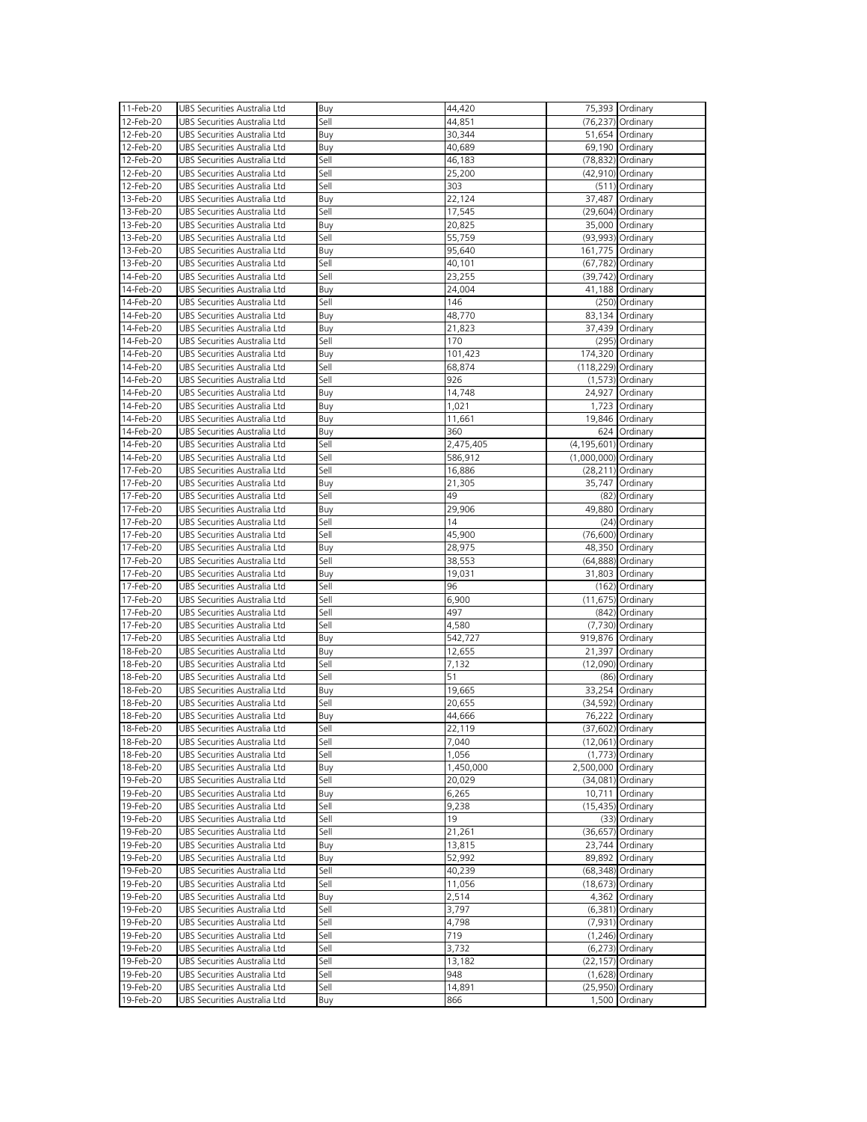| 11-Feb-20 | UBS Securities Australia Ltd | Buy        | 44,420    |                          | 75,393 Ordinary      |
|-----------|------------------------------|------------|-----------|--------------------------|----------------------|
|           |                              |            |           |                          |                      |
| 12-Feb-20 | UBS Securities Australia Ltd | Sell       | 44,851    |                          | (76,237) Ordinary    |
| 12-Feb-20 | UBS Securities Australia Ltd | Buy        | 30,344    |                          | 51,654 Ordinary      |
| 12-Feb-20 | UBS Securities Australia Ltd | <b>Buy</b> | 40,689    |                          | 69,190 Ordinary      |
| 12-Feb-20 | UBS Securities Australia Ltd | Sell       | 46,183    |                          | (78,832) Ordinary    |
| 12-Feb-20 | UBS Securities Australia Ltd | Sell       | 25,200    |                          | (42,910) Ordinary    |
|           |                              |            |           |                          |                      |
| 12-Feb-20 | UBS Securities Australia Ltd | Sell       | 303       |                          | $(511)$ Ordinary     |
| 13-Feb-20 | UBS Securities Australia Ltd | Buy        | 22,124    |                          | 37,487 Ordinary      |
| 13-Feb-20 | UBS Securities Australia Ltd | Sell       | 17,545    |                          | (29,604) Ordinary    |
| 13-Feb-20 | UBS Securities Australia Ltd | Buy        | 20,825    |                          | 35,000 Ordinary      |
| 13-Feb-20 | UBS Securities Australia Ltd | Sell       | 55,759    |                          | (93,993) Ordinary    |
|           | UBS Securities Australia Ltd |            |           |                          |                      |
| 13-Feb-20 |                              | Buy        | 95,640    |                          | 161,775 Ordinary     |
| 13-Feb-20 | UBS Securities Australia Ltd | Sell       | 40,101    |                          | (67,782) Ordinary    |
| 14-Feb-20 | UBS Securities Australia Ltd | Sell       | 23,255    |                          | (39,742) Ordinary    |
| 14-Feb-20 | UBS Securities Australia Ltd | Buy        | 24,004    |                          | 41,188 Ordinary      |
| 14-Feb-20 | UBS Securities Australia Ltd | Sell       | 146       |                          | (250) Ordinary       |
| 14-Feb-20 | UBS Securities Australia Ltd | Buy        | 48,770    |                          | 83,134 Ordinary      |
|           |                              |            |           |                          |                      |
| 14-Feb-20 | UBS Securities Australia Ltd | Buy        | 21,823    |                          | 37,439 Ordinary      |
| 14-Feb-20 | UBS Securities Australia Ltd | Sell       | 170       |                          | (295) Ordinary       |
| 14-Feb-20 | UBS Securities Australia Ltd | Buy        | 101,423   |                          | 174,320 Ordinary     |
| 14-Feb-20 | UBS Securities Australia Ltd | Sell       | 68,874    | (118,229) Ordinary       |                      |
| 14-Feb-20 | UBS Securities Australia Ltd | Sell       | 926       |                          | $(1,573)$ Ordinary   |
|           |                              |            |           |                          |                      |
| 14-Feb-20 | UBS Securities Australia Ltd | Buy        | 14,748    |                          | 24,927 Ordinary      |
| 14-Feb-20 | UBS Securities Australia Ltd | Buy        | 1,021     |                          | 1,723 Ordinary       |
| 14-Feb-20 | UBS Securities Australia Ltd | Buy        | 11,661    |                          | 19,846 Ordinary      |
| 14-Feb-20 | UBS Securities Australia Ltd | Buy        | 360       |                          | 624 Ordinary         |
| 14-Feb-20 | UBS Securities Australia Ltd | Sell       | 2,475,405 | $(4, 195, 601)$ Ordinary |                      |
|           | UBS Securities Australia Ltd | Sell       |           |                          |                      |
| 14-Feb-20 |                              |            | 586,912   | (1,000,000) Ordinary     |                      |
| 17-Feb-20 | UBS Securities Australia Ltd | Sell       | 16,886    |                          | $(28,211)$ Ordinary  |
| 17-Feb-20 | UBS Securities Australia Ltd | Buy        | 21,305    |                          | 35,747 Ordinary      |
| 17-Feb-20 | UBS Securities Australia Ltd | Sell       | 49        |                          | (82) Ordinary        |
| 17-Feb-20 | UBS Securities Australia Ltd | Buy        | 29,906    |                          | 49,880 Ordinary      |
| 17-Feb-20 | UBS Securities Australia Ltd | Sell       | 14        |                          | (24) Ordinary        |
| 17-Feb-20 |                              |            |           |                          |                      |
|           | UBS Securities Australia Ltd | Sell       | 45,900    |                          | (76,600) Ordinary    |
|           |                              |            |           |                          |                      |
| 17-Feb-20 | UBS Securities Australia Ltd | Buy        | 28,975    |                          | 48,350 Ordinary      |
| 17-Feb-20 | UBS Securities Australia Ltd | Sell       | 38,553    |                          | (64,888) Ordinary    |
| 17-Feb-20 | UBS Securities Australia Ltd |            |           |                          |                      |
|           |                              | Buy        | 19,031    |                          | 31,803 Ordinary      |
| 17-Feb-20 | UBS Securities Australia Ltd | Sell       | 96        |                          | (162) Ordinary       |
| 17-Feb-20 | UBS Securities Australia Ltd | Sell       | 6,900     |                          | $(11, 675)$ Ordinary |
| 17-Feb-20 | UBS Securities Australia Ltd | Sell       | 497       |                          | (842) Ordinary       |
| 17-Feb-20 | UBS Securities Australia Ltd | Sell       | 4,580     |                          | (7,730) Ordinary     |
|           |                              |            |           |                          |                      |
| 17-Feb-20 | UBS Securities Australia Ltd | Buy        | 542,727   | 919,876 Ordinary         |                      |
| 18-Feb-20 | UBS Securities Australia Ltd | Buy        | 12,655    |                          | 21,397 Ordinary      |
| 18-Feb-20 | UBS Securities Australia Ltd | Sell       | 7,132     |                          | (12,090) Ordinary    |
| 18-Feb-20 | UBS Securities Australia Ltd | Sell       | 51        |                          | (86) Ordinary        |
| 18-Feb-20 | UBS Securities Australia Ltd | Buy        | 19,665    |                          | 33,254 Ordinary      |
| 18-Feb-20 | UBS Securities Australia Ltd | Sell       | 20,655    |                          | (34,592) Ordinary    |
| 18-Feb-20 | UBS Securities Australia Ltd |            | 44,666    |                          |                      |
|           |                              | Buy        |           |                          | 76,222 Ordinary      |
| 18-Feb-20 | UBS Securities Australia Ltd | Sell       | 22,119    |                          | (37,602) Ordinary    |
| 18-Feb-20 | UBS Securities Australia Ltd | Sell       | 7,040     |                          | $(12,061)$ Ordinary  |
| 18-Feb-20 | UBS Securities Australia Ltd | Sell       | 1,056     |                          | $(1,773)$ Ordinary   |
| 18-Feb-20 | UBS Securities Australia Ltd | Buy        | 1,450,000 | 2,500,000 Ordinary       |                      |
| 19-Feb-20 | UBS Securities Australia Ltd | Sell       | 20,029    |                          | $(34,081)$ Ordinary  |
|           |                              |            |           |                          |                      |
| 19-Feb-20 | UBS Securities Australia Ltd | Buy        | 6,265     |                          | 10,711 Ordinary      |
| 19-Feb-20 | UBS Securities Australia Ltd | Sell       | 9,238     |                          | $(15,435)$ Ordinary  |
| 19-Feb-20 | UBS Securities Australia Ltd | Sell       | 19        |                          | (33) Ordinary        |
| 19-Feb-20 | UBS Securities Australia Ltd | Sell       | 21,261    |                          | (36,657) Ordinary    |
| 19-Feb-20 | UBS Securities Australia Ltd | Buy        | 13,815    |                          | 23,744 Ordinary      |
| 19-Feb-20 | UBS Securities Australia Ltd |            | 52,992    |                          | 89,892 Ordinary      |
|           |                              | Buy        |           |                          |                      |
| 19-Feb-20 | UBS Securities Australia Ltd | Sell       | 40,239    |                          | (68,348) Ordinary    |
| 19-Feb-20 | UBS Securities Australia Ltd | Sell       | 11,056    |                          | $(18, 673)$ Ordinary |
| 19-Feb-20 | UBS Securities Australia Ltd | Buy        | 2,514     |                          | 4,362 Ordinary       |
| 19-Feb-20 | UBS Securities Australia Ltd | Sell       | 3,797     |                          | $(6,381)$ Ordinary   |
| 19-Feb-20 | UBS Securities Australia Ltd | Sell       | 4,798     |                          | (7,931) Ordinary     |
|           |                              |            |           |                          |                      |
| 19-Feb-20 | UBS Securities Australia Ltd | Sell       | 719       |                          | $(1,246)$ Ordinary   |
| 19-Feb-20 | UBS Securities Australia Ltd | Sell       | 3,732     |                          | $(6,273)$ Ordinary   |
| 19-Feb-20 | UBS Securities Australia Ltd | Sell       | 13,182    |                          | $(22, 157)$ Ordinary |
| 19-Feb-20 | UBS Securities Australia Ltd | Sell       | 948       |                          | $(1,628)$ Ordinary   |
| 19-Feb-20 | UBS Securities Australia Ltd | Sell       | 14,891    |                          | (25,950) Ordinary    |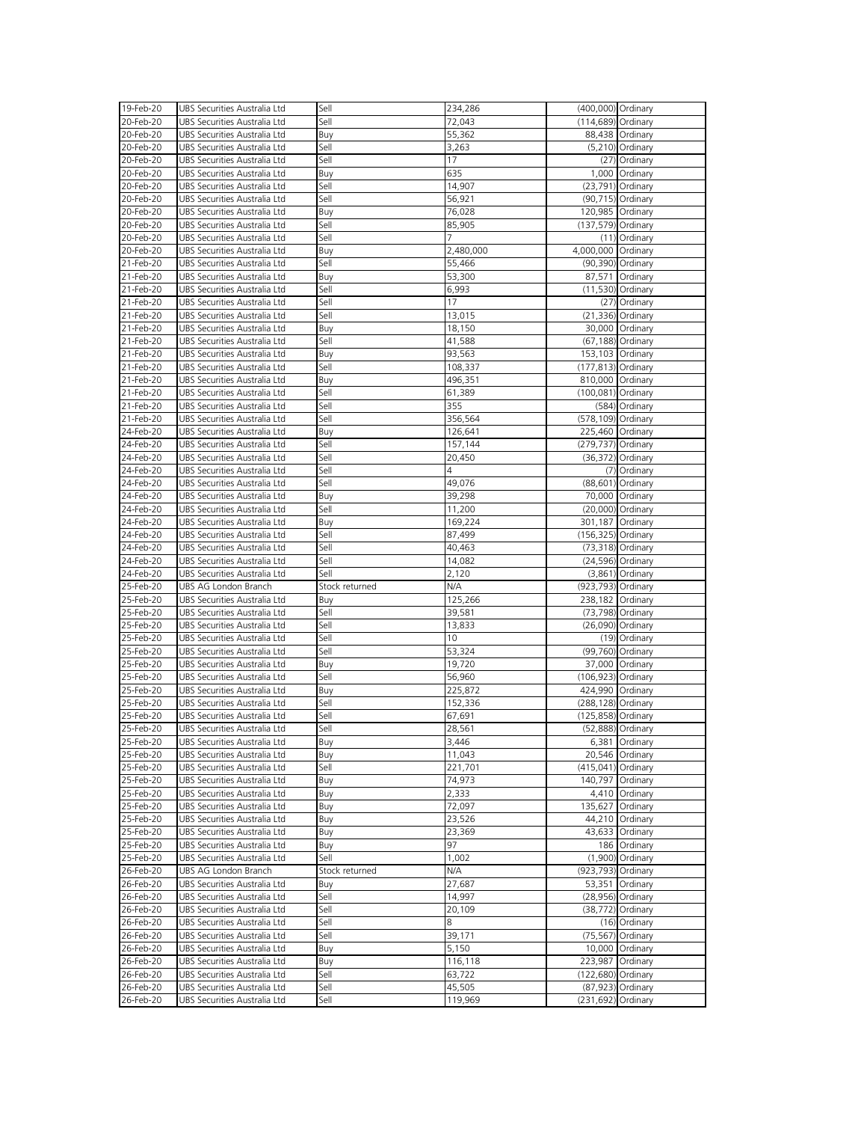| 19-Feb-20              | UBS Securities Australia Ltd                                 | Sell           | 234,286           | (400,000) Ordinary  |                     |
|------------------------|--------------------------------------------------------------|----------------|-------------------|---------------------|---------------------|
| 20-Feb-20              | UBS Securities Australia Ltd                                 | Sell           | 72,043            | (114,689) Ordinary  |                     |
|                        |                                                              |                |                   |                     |                     |
| 20-Feb-20              | UBS Securities Australia Ltd                                 | Buy            | 55,362            |                     | 88,438 Ordinary     |
| 20-Feb-20              | UBS Securities Australia Ltd                                 | Sell           | 3,263             |                     | $(5,210)$ Ordinary  |
| 20-Feb-20              | UBS Securities Australia Ltd                                 | Sell           | 17                |                     | $(27)$ Ordinary     |
| 20-Feb-20              | UBS Securities Australia Ltd                                 | Buy            | 635               |                     | 1,000 Ordinary      |
| 20-Feb-20              | UBS Securities Australia Ltd                                 | Sell           | 14,907            |                     | (23,791) Ordinary   |
| 20-Feb-20              | UBS Securities Australia Ltd                                 | Sell           | 56,921            |                     | (90,715) Ordinary   |
| 20-Feb-20              | UBS Securities Australia Ltd                                 | Buy            | 76,028            | 120,985 Ordinary    |                     |
|                        |                                                              |                |                   |                     |                     |
| 20-Feb-20              | UBS Securities Australia Ltd                                 | Sell           | 85,905            | (137,579) Ordinary  |                     |
| 20-Feb-20              | UBS Securities Australia Ltd                                 | Sell           |                   |                     | $(11)$ Ordinary     |
| 20-Feb-20              | UBS Securities Australia Ltd                                 | Buy            | 2,480,000         | 4,000,000 Ordinary  |                     |
| 21-Feb-20              | UBS Securities Australia Ltd                                 | Sell           | 55,466            |                     | (90,390) Ordinary   |
| 21-Feb-20              | UBS Securities Australia Ltd                                 | Buy            | 53,300            |                     | 87,571 Ordinary     |
| 21-Feb-20              | UBS Securities Australia Ltd                                 | Sell           | 6,993             |                     | $(11,530)$ Ordinary |
| 21-Feb-20              | UBS Securities Australia Ltd                                 | Sell           | 17                |                     | $(27)$ Ordinary     |
|                        |                                                              |                |                   |                     |                     |
| 21-Feb-20              | UBS Securities Australia Ltd                                 | Sell           | 13,015            |                     | $(21,336)$ Ordinary |
| 21-Feb-20              | UBS Securities Australia Ltd                                 | Buy            | 18,150            |                     | 30,000 Ordinary     |
| 21-Feb-20              | UBS Securities Australia Ltd                                 | Sell           | 41,588            |                     | (67,188) Ordinary   |
| 21-Feb-20              | UBS Securities Australia Ltd                                 | Buy            | 93,563            | 153,103 Ordinary    |                     |
| 21-Feb-20              | UBS Securities Australia Ltd                                 | Sell           | 108,337           | (177,813) Ordinary  |                     |
| 21-Feb-20              | UBS Securities Australia Ltd                                 | Buy            | 496,351           | 810,000 Ordinary    |                     |
| 21-Feb-20              | UBS Securities Australia Ltd                                 | Sell           | 61,389            | (100,081) Ordinary  |                     |
|                        |                                                              |                |                   |                     |                     |
| 21-Feb-20              | UBS Securities Australia Ltd                                 | Sell           | 355               |                     | (584) Ordinary      |
| 21-Feb-20              | UBS Securities Australia Ltd                                 | Sell           | 356,564           | (578,109) Ordinary  |                     |
| 24-Feb-20              | UBS Securities Australia Ltd                                 | Buy            | 126,641           | 225,460 Ordinary    |                     |
| 24-Feb-20              | UBS Securities Australia Ltd                                 | Sell           | 157,144           | (279,737) Ordinary  |                     |
| 24-Feb-20              | UBS Securities Australia Ltd                                 | Sell           | 20,450            |                     | (36,372) Ordinary   |
| 24-Feb-20              | UBS Securities Australia Ltd                                 | Sell           | 4                 |                     | (7) Ordinary        |
| 24-Feb-20              | UBS Securities Australia Ltd                                 | Sell           | 49,076            |                     | (88,601) Ordinary   |
|                        |                                                              |                |                   |                     |                     |
| 24-Feb-20              | UBS Securities Australia Ltd                                 | Buy            | 39,298            |                     | 70,000 Ordinary     |
| 24-Feb-20              | UBS Securities Australia Ltd                                 | Sell           | 11,200            |                     | (20,000) Ordinary   |
| 24-Feb-20              | UBS Securities Australia Ltd                                 | Buy            | 169,224           | 301,187 Ordinary    |                     |
| 24-Feb-20              | UBS Securities Australia Ltd                                 | Sell           | 87,499            | (156,325) Ordinary  |                     |
| 24-Feb-20              | UBS Securities Australia Ltd                                 | Sell           | 40,463            | $(73,318)$ Ordinary |                     |
|                        |                                                              |                |                   |                     |                     |
|                        |                                                              |                |                   |                     |                     |
| 24-Feb-20              | UBS Securities Australia Ltd                                 | Sell           | 14,082            |                     | (24,596) Ordinary   |
| 24-Feb-20              | UBS Securities Australia Ltd                                 | Sell           | 2,120             |                     | $(3,861)$ Ordinary  |
| 25-Feb-20              | UBS AG London Branch                                         | Stock returned | N/A               | (923,793) Ordinary  |                     |
| 25-Feb-20              | UBS Securities Australia Ltd                                 | Buy            | 125,266           | 238,182 Ordinary    |                     |
| 25-Feb-20              | UBS Securities Australia Ltd                                 | Sell           | 39,581            |                     | (73,798) Ordinary   |
| 25-Feb-20              | UBS Securities Australia Ltd                                 | Sell           | 13,833            |                     | (26,090) Ordinary   |
| 25-Feb-20              | UBS Securities Australia Ltd                                 | Sell           | 10                |                     |                     |
|                        |                                                              |                |                   |                     | (19) Ordinary       |
| 25-Feb-20              | UBS Securities Australia Ltd                                 | Sell           | 53,324            |                     | (99,760) Ordinary   |
| 25-Feb-20              | UBS Securities Australia Ltd                                 | Buy            | 19,720            |                     | 37,000 Ordinary     |
| 25-Feb-20              | UBS Securities Australia Ltd                                 | Sell           | 56,960            | (106,923) Ordinary  |                     |
| 25-Feb-20              | UBS Securities Australia Ltd                                 | Buy            | 225,872           | 424,990 Ordinary    |                     |
| 25-Feb-20              | UBS Securities Australia Ltd                                 | Sell           | 152,336           | (288,128) Ordinary  |                     |
| 25-Feb-20              | UBS Securities Australia Ltd                                 | Sell           | 67,691            | (125,858) Ordinary  |                     |
| 25-Feb-20              | UBS Securities Australia Ltd                                 | Sell           | 28,561            |                     | (52,888) Ordinary   |
| 25-Feb-20              | UBS Securities Australia Ltd                                 | Buy            | 3,446             |                     | 6,381 Ordinary      |
|                        |                                                              |                |                   |                     |                     |
| 25-Feb-20              | UBS Securities Australia Ltd                                 | Buy            | 11,043            |                     | 20,546 Ordinary     |
| 25-Feb-20              | UBS Securities Australia Ltd                                 | Sell           | 221,701           | (415,041) Ordinary  |                     |
| 25-Feb-20              | UBS Securities Australia Ltd                                 | Buy            | 74,973            | 140,797 Ordinary    |                     |
| 25-Feb-20              | UBS Securities Australia Ltd                                 | Buy            | 2,333             |                     | 4,410 Ordinary      |
| 25-Feb-20              | UBS Securities Australia Ltd                                 | Buy            | 72,097            | 135,627 Ordinary    |                     |
| 25-Feb-20              | UBS Securities Australia Ltd                                 | Buy            | 23,526            |                     | 44,210 Ordinary     |
| 25-Feb-20              | UBS Securities Australia Ltd                                 | Buy            | 23,369            |                     | 43,633 Ordinary     |
| 25-Feb-20              | UBS Securities Australia Ltd                                 |                | 97                |                     | 186 Ordinary        |
|                        |                                                              | Buy            |                   |                     |                     |
| 25-Feb-20              | UBS Securities Australia Ltd                                 | Sell           | 1,002             |                     | $(1,900)$ Ordinary  |
| 26-Feb-20              | UBS AG London Branch                                         | Stock returned | N/A               | (923,793) Ordinary  |                     |
| 26-Feb-20              | UBS Securities Australia Ltd                                 | Buy            | 27,687            |                     | 53,351 Ordinary     |
| 26-Feb-20              | UBS Securities Australia Ltd                                 | Sell           | 14,997            |                     | (28,956) Ordinary   |
| 26-Feb-20              | UBS Securities Australia Ltd                                 | Sell           | 20,109            |                     | (38,772) Ordinary   |
| 26-Feb-20              | UBS Securities Australia Ltd                                 | Sell           | 8                 |                     | (16) Ordinary       |
| 26-Feb-20              | UBS Securities Australia Ltd                                 | Sell           | 39,171            |                     | (75,567) Ordinary   |
|                        |                                                              |                |                   |                     |                     |
| 26-Feb-20              | UBS Securities Australia Ltd                                 | Buy            | 5,150             |                     | 10,000 Ordinary     |
| 26-Feb-20              | UBS Securities Australia Ltd                                 | Buy            | 116,118           | 223,987 Ordinary    |                     |
| 26-Feb-20              | UBS Securities Australia Ltd                                 | Sell           | 63,722            | (122,680) Ordinary  |                     |
| 26-Feb-20<br>26-Feb-20 | UBS Securities Australia Ltd<br>UBS Securities Australia Ltd | Sell<br>Sell   | 45,505<br>119,969 | (231,692) Ordinary  | (87,923) Ordinary   |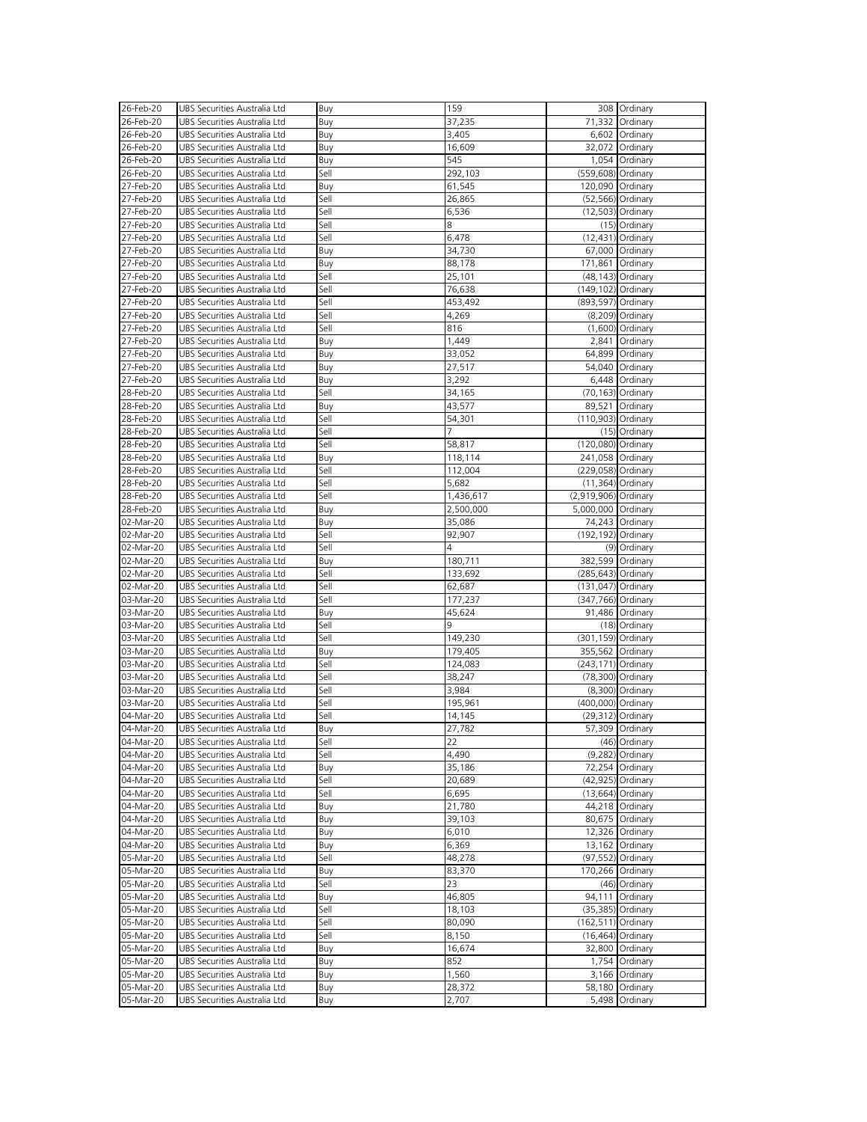| 26-Feb-20              | UBS Securities Australia Ltd                                 | Buy        | 159             |                       | 308 Ordinary                      |
|------------------------|--------------------------------------------------------------|------------|-----------------|-----------------------|-----------------------------------|
|                        |                                                              |            |                 |                       |                                   |
| 26-Feb-20              | UBS Securities Australia Ltd                                 | Buy        | 37,235          |                       | 71,332 Ordinary                   |
| 26-Feb-20              | UBS Securities Australia Ltd                                 | Buy        | 3,405           |                       | 6,602 Ordinary                    |
| 26-Feb-20              | UBS Securities Australia Ltd                                 | Buy        | 16,609          |                       | 32,072 Ordinary                   |
| 26-Feb-20              | UBS Securities Australia Ltd                                 | Buy        | 545             |                       | 1,054 Ordinary                    |
| 26-Feb-20              | UBS Securities Australia Ltd                                 | Sell       | 292,103         | (559,608) Ordinary    |                                   |
|                        |                                                              |            |                 |                       |                                   |
| 27-Feb-20              | UBS Securities Australia Ltd                                 | Buy        | 61,545          | 120,090 Ordinary      |                                   |
| 27-Feb-20              | UBS Securities Australia Ltd                                 | Sell       | 26,865          |                       | (52,566) Ordinary                 |
| 27-Feb-20              | UBS Securities Australia Ltd                                 | Sell       | 6,536           |                       | $(12,503)$ Ordinary               |
| 27-Feb-20              | UBS Securities Australia Ltd                                 | Sell       | 8               |                       | $(15)$ Ordinary                   |
| 27-Feb-20              | UBS Securities Australia Ltd                                 | Sell       | 6,478           |                       | $(12, 431)$ Ordinary              |
|                        | UBS Securities Australia Ltd                                 |            |                 |                       |                                   |
| 27-Feb-20              |                                                              | Buy        | 34,730          |                       | 67,000 Ordinary                   |
| 27-Feb-20              | UBS Securities Australia Ltd                                 | Buy        | 88,178          | 171,861 Ordinary      |                                   |
| 27-Feb-20              | UBS Securities Australia Ltd                                 | Sell       | 25,101          |                       | $(48, 143)$ Ordinary              |
| 27-Feb-20              | UBS Securities Australia Ltd                                 | Sell       | 76,638          | (149,102) Ordinary    |                                   |
| 27-Feb-20              | UBS Securities Australia Ltd                                 | Sell       | 453,492         | (893,597) Ordinary    |                                   |
| 27-Feb-20              | UBS Securities Australia Ltd                                 | Sell       | 4,269           |                       | (8,209) Ordinary                  |
|                        |                                                              |            |                 |                       |                                   |
| 27-Feb-20              | UBS Securities Australia Ltd                                 | Sell       | 816             |                       | $(1,600)$ Ordinary                |
| 27-Feb-20              | UBS Securities Australia Ltd                                 | Buy        | 1,449           |                       | 2,841 Ordinary                    |
| 27-Feb-20              | UBS Securities Australia Ltd                                 | Buy        | 33,052          |                       | 64,899 Ordinary                   |
| 27-Feb-20              | UBS Securities Australia Ltd                                 | Buy        | 27,517          |                       | 54,040 Ordinary                   |
| 27-Feb-20              | UBS Securities Australia Ltd                                 | Buy        | 3,292           |                       | 6,448 Ordinary                    |
|                        |                                                              |            |                 |                       |                                   |
| 28-Feb-20              | UBS Securities Australia Ltd                                 | Sell       | 34,165          |                       | (70,163) Ordinary                 |
| 28-Feb-20              | UBS Securities Australia Ltd                                 | Buy        | 43,577          |                       | 89,521 Ordinary                   |
| 28-Feb-20              | UBS Securities Australia Ltd                                 | Sell       | 54,301          | (110,903) Ordinary    |                                   |
| 28-Feb-20              | UBS Securities Australia Ltd                                 | Sell       |                 |                       | (15) Ordinary                     |
| 28-Feb-20              | UBS Securities Australia Ltd                                 | Sell       |                 |                       |                                   |
|                        |                                                              |            | 58,817          | (120,080) Ordinary    |                                   |
| 28-Feb-20              | UBS Securities Australia Ltd                                 | Buy        | 118,114         | 241,058 Ordinary      |                                   |
| 28-Feb-20              | UBS Securities Australia Ltd                                 | Sell       | 112,004         | (229,058) Ordinary    |                                   |
| 28-Feb-20              | UBS Securities Australia Ltd                                 | Sell       | 5,682           |                       | $(11,364)$ Ordinary               |
| 28-Feb-20              | UBS Securities Australia Ltd                                 | Sell       | 1,436,617       | (2,919,906) Ordinary  |                                   |
| 28-Feb-20              | UBS Securities Australia Ltd                                 | Buy        | 2,500,000       | 5,000,000 Ordinary    |                                   |
|                        |                                                              |            |                 |                       |                                   |
| 02-Mar-20              | UBS Securities Australia Ltd                                 | Buy        | 35,086          |                       | 74,243 Ordinary                   |
| 02-Mar-20              | UBS Securities Australia Ltd                                 | Sell       | 92,907          | (192,192) Ordinary    |                                   |
| 02-Mar-20              | UBS Securities Australia Ltd                                 | Sell       | 4               |                       | (9) Ordinary                      |
| 02-Mar-20              | UBS Securities Australia Ltd                                 | Buy        | 180,711         | 382,599 Ordinary      |                                   |
| 02-Mar-20              | UBS Securities Australia Ltd                                 | Sell       | 133,692         | (285,643) Ordinary    |                                   |
|                        |                                                              |            |                 |                       |                                   |
| 02-Mar-20              | UBS Securities Australia Ltd                                 | Sell       | 62,687          | $(131, 047)$ Ordinary |                                   |
| 03-Mar-20              | UBS Securities Australia Ltd                                 | Sell       | 177,237         | (347,766) Ordinary    |                                   |
| 03-Mar-20              | UBS Securities Australia Ltd                                 | Buy        | 45,624          |                       | 91,486 Ordinary                   |
| 03-Mar-20              | UBS Securities Australia Ltd                                 | Sell       | 9               |                       | $(18)$ Ordinary                   |
| 03-Mar-20              | UBS Securities Australia Ltd                                 | Sell       | 149,230         | (301,159) Ordinary    |                                   |
|                        |                                                              |            |                 |                       |                                   |
| 03-Mar-20              | UBS Securities Australia Ltd                                 | Buy        | 179,405         | 355,562 Ordinary      |                                   |
| 03-Mar-20              | UBS Securities Australia Ltd                                 | Sell       | 124,083         | (243,171) Ordinary    |                                   |
| 03-Mar-20              | UBS Securities Australia Ltd                                 | Sell       | 38,247          |                       | (78,300) Ordinary                 |
| 03-Mar-20              | UBS Securities Australia Ltd                                 | Sell       | 3,984           |                       | (8,300) Ordinary                  |
| 03-Mar-20              | UBS Securities Australia Ltd                                 | Sell       | 195,961         | (400,000) Ordinary    |                                   |
|                        |                                                              |            |                 |                       |                                   |
| 04-Mar-20              | UBS Securities Australia Ltd                                 | Sell       | 14,145          |                       | $(29,312)$ Ordinary               |
| 04-Mar-20              | UBS Securities Australia Ltd                                 | Buy        | 27,782          |                       | 57,309 Ordinary                   |
| 04-Mar-20              | UBS Securities Australia Ltd                                 | Sell       | 22              |                       | (46) Ordinary                     |
| 04-Mar-20              | UBS Securities Australia Ltd                                 | Sell       | 4,490           |                       | $(9,282)$ Ordinary                |
| 04-Mar-20              | UBS Securities Australia Ltd                                 | Buy        | 35,186          |                       | 72,254 Ordinary                   |
|                        |                                                              | Sell       |                 |                       |                                   |
| 04-Mar-20              | UBS Securities Australia Ltd                                 |            | 20,689          |                       | (42,925) Ordinary                 |
| 04-Mar-20              | UBS Securities Australia Ltd                                 | Sell       | 6,695           |                       | $(13,664)$ Ordinary               |
| 04-Mar-20              | UBS Securities Australia Ltd                                 | Buy        | 21,780          |                       | 44,218 Ordinary                   |
| 04-Mar-20              | UBS Securities Australia Ltd                                 | Buy        | 39,103          |                       | 80,675 Ordinary                   |
| 04-Mar-20              | UBS Securities Australia Ltd                                 | Buy        | 6,010           |                       | 12,326 Ordinary                   |
|                        |                                                              |            |                 |                       |                                   |
| 04-Mar-20              | UBS Securities Australia Ltd                                 | Buy        | 6,369           |                       | 13,162 Ordinary                   |
| 05-Mar-20              | UBS Securities Australia Ltd                                 | Sell       | 48,278          |                       | (97,552) Ordinary                 |
| 05-Mar-20              | UBS Securities Australia Ltd                                 | Buy        | 83,370          |                       | 170,266 Ordinary                  |
| 05-Mar-20              | UBS Securities Australia Ltd                                 | Sell       | 23              |                       | (46) Ordinary                     |
| 05-Mar-20              | UBS Securities Australia Ltd                                 | Buy        | 46,805          |                       | 94,111 Ordinary                   |
| 05-Mar-20              | UBS Securities Australia Ltd                                 | Sell       |                 |                       |                                   |
|                        |                                                              |            | 18,103          |                       | (35,385) Ordinary                 |
| 05-Mar-20              | UBS Securities Australia Ltd                                 | Sell       | 80,090          | $(162, 511)$ Ordinary |                                   |
| 05-Mar-20              | UBS Securities Australia Ltd                                 | Sell       | 8,150           |                       | $(16,464)$ Ordinary               |
| 05-Mar-20              | UBS Securities Australia Ltd                                 | Buy        | 16,674          | 32,800                | Ordinary                          |
| 05-Mar-20              | UBS Securities Australia Ltd                                 | Buy        | 852             |                       | 1,754 Ordinary                    |
|                        | UBS Securities Australia Ltd                                 | Buy        | 1,560           |                       | 3,166 Ordinary                    |
| 05-Mar-20              |                                                              |            |                 |                       |                                   |
|                        |                                                              |            |                 |                       |                                   |
| 05-Mar-20<br>05-Mar-20 | UBS Securities Australia Ltd<br>UBS Securities Australia Ltd | Buy<br>Buy | 28,372<br>2,707 |                       | 58,180 Ordinary<br>5,498 Ordinary |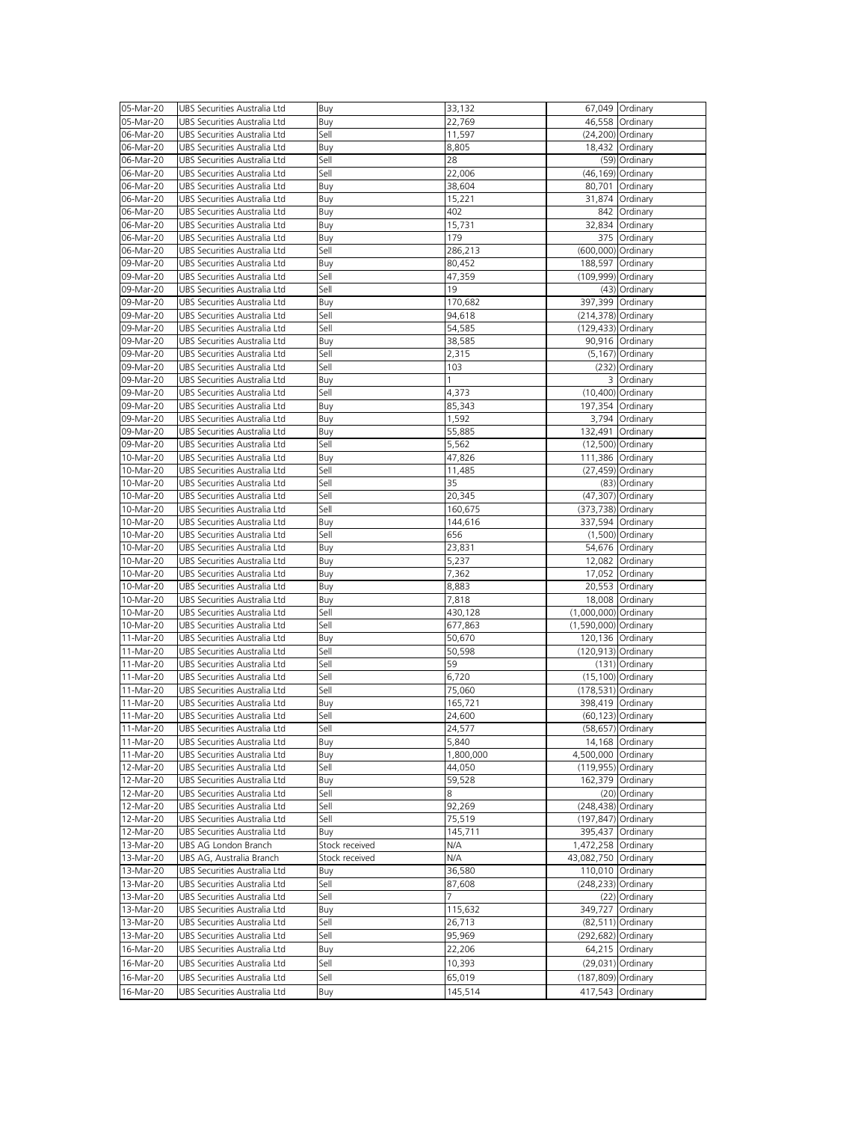| 05-Mar-20 | UBS Securities Australia Ltd | Buy            | 33,132    |                      | 67,049 Ordinary      |
|-----------|------------------------------|----------------|-----------|----------------------|----------------------|
| 05-Mar-20 |                              |                |           |                      |                      |
|           | UBS Securities Australia Ltd | Buy            | 22,769    |                      | 46,558 Ordinary      |
| 06-Mar-20 | UBS Securities Australia Ltd | Sell           | 11,597    |                      | (24,200) Ordinary    |
| 06-Mar-20 | UBS Securities Australia Ltd | Buy            | 8,805     |                      | 18,432 Ordinary      |
| 06-Mar-20 | UBS Securities Australia Ltd | Sell           | 28        |                      | (59) Ordinary        |
| 06-Mar-20 | UBS Securities Australia Ltd | Sell           | 22,006    |                      | (46,169) Ordinary    |
| 06-Mar-20 | UBS Securities Australia Ltd | Buy            | 38,604    |                      | 80,701 Ordinary      |
| 06-Mar-20 | UBS Securities Australia Ltd |                |           |                      |                      |
|           |                              | Buy            | 15,221    |                      | 31,874 Ordinary      |
| 06-Mar-20 | UBS Securities Australia Ltd | Buy            | 402       |                      | 842 Ordinary         |
| 06-Mar-20 | UBS Securities Australia Ltd | Buy            | 15,731    |                      | 32,834 Ordinary      |
| 06-Mar-20 | UBS Securities Australia Ltd | Buy            | 179       |                      | 375 Ordinary         |
| 06-Mar-20 | UBS Securities Australia Ltd | Sell           | 286,213   | (600,000) Ordinary   |                      |
| 09-Mar-20 | UBS Securities Australia Ltd | Buy            | 80,452    | 188,597 Ordinary     |                      |
| 09-Mar-20 | UBS Securities Australia Ltd | Sell           | 47,359    | (109,999) Ordinary   |                      |
|           |                              |                |           |                      |                      |
| 09-Mar-20 | UBS Securities Australia Ltd | Sell           | 19        |                      | (43) Ordinary        |
| 09-Mar-20 | UBS Securities Australia Ltd | Buy            | 170,682   | 397,399 Ordinary     |                      |
| 09-Mar-20 | UBS Securities Australia Ltd | Sell           | 94,618    | (214,378) Ordinary   |                      |
| 09-Mar-20 | UBS Securities Australia Ltd | Sell           | 54,585    | (129,433) Ordinary   |                      |
| 09-Mar-20 | UBS Securities Australia Ltd | Buy            | 38,585    |                      | 90,916 Ordinary      |
| 09-Mar-20 | UBS Securities Australia Ltd | Sell           | 2,315     |                      | (5,167) Ordinary     |
| 09-Mar-20 | UBS Securities Australia Ltd | Sell           | 103       |                      | (232) Ordinary       |
|           |                              |                |           |                      |                      |
| 09-Mar-20 | UBS Securities Australia Ltd | Buy            |           |                      | 3 Ordinary           |
| 09-Mar-20 | UBS Securities Australia Ltd | Sell           | 4,373     |                      | (10,400) Ordinary    |
| 09-Mar-20 | UBS Securities Australia Ltd | Buy            | 85,343    | 197,354 Ordinary     |                      |
| 09-Mar-20 | UBS Securities Australia Ltd | Buy            | 1,592     |                      | 3,794 Ordinary       |
| 09-Mar-20 | UBS Securities Australia Ltd | Buy            | 55,885    | 132,491 Ordinary     |                      |
| 09-Mar-20 | UBS Securities Australia Ltd | Sell           | 5,562     |                      | (12,500) Ordinary    |
| 10-Mar-20 | UBS Securities Australia Ltd |                |           | 111,386 Ordinary     |                      |
|           |                              | Buy            | 47,826    |                      |                      |
| 10-Mar-20 | UBS Securities Australia Ltd | Sell           | 11,485    |                      | (27,459) Ordinary    |
| 10-Mar-20 | UBS Securities Australia Ltd | Sell           | 35        |                      | (83) Ordinary        |
| 10-Mar-20 | UBS Securities Australia Ltd | Sell           | 20,345    |                      | (47,307) Ordinary    |
| 10-Mar-20 | UBS Securities Australia Ltd | Sell           | 160,675   | (373,738) Ordinary   |                      |
| 10-Mar-20 | UBS Securities Australia Ltd | Buy            | 144,616   | 337,594 Ordinary     |                      |
| 10-Mar-20 | UBS Securities Australia Ltd | Sell           | 656       |                      | (1,500) Ordinary     |
| 10-Mar-20 | UBS Securities Australia Ltd |                |           |                      | 54,676 Ordinary      |
|           |                              | Buy            | 23,831    |                      |                      |
| 10-Mar-20 | UBS Securities Australia Ltd | Buy            | 5,237     |                      | 12,082 Ordinary      |
| 10-Mar-20 | UBS Securities Australia Ltd | Buy            | 7,362     |                      | 17,052 Ordinary      |
| 10-Mar-20 | UBS Securities Australia Ltd | Buy            | 8,883     |                      | 20,553 Ordinary      |
| 10-Mar-20 | UBS Securities Australia Ltd | Buy            | 7,818     |                      | 18,008 Ordinary      |
| 10-Mar-20 | UBS Securities Australia Ltd | Sell           | 430,128   | (1,000,000) Ordinary |                      |
| 10-Mar-20 | UBS Securities Australia Ltd | Sell           | 677,863   | (1,590,000) Ordinary |                      |
| 11-Mar-20 | UBS Securities Australia Ltd | Buy            | 50,670    |                      |                      |
|           |                              |                |           | 120,136 Ordinary     |                      |
| 11-Mar-20 | UBS Securities Australia Ltd | Sell           | 50,598    | (120,913) Ordinary   |                      |
| 11-Mar-20 | UBS Securities Australia Ltd | Sell           | 59        |                      | $(131)$ Ordinary     |
| 11-Mar-20 | UBS Securities Australia Ltd | Sell           | 6,720     |                      | (15,100) Ordinary    |
| 11-Mar-20 | UBS Securities Australia Ltd | Sell           | 75,060    | (178,531) Ordinary   |                      |
| 11-Mar-20 | UBS Securities Australia Ltd | Buy            | 165,721   | 398,419 Ordinary     |                      |
| 11-Mar-20 | UBS Securities Australia Ltd | Sell           | 24,600    |                      | (60,123) Ordinary    |
| 11-Mar-20 | UBS Securities Australia Ltd | Sell           |           |                      |                      |
|           |                              |                | 24,577    |                      | (58,657) Ordinary    |
| 11-Mar-20 | UBS Securities Australia Ltd | Buy            | 5,840     |                      | 14,168 Ordinary      |
| 11-Mar-20 | UBS Securities Australia Ltd | Buy            | 1,800,000 | 4,500,000 Ordinary   |                      |
| 12-Mar-20 | UBS Securities Australia Ltd | Sell           | 44,050    | (119,955) Ordinary   |                      |
| 12-Mar-20 | UBS Securities Australia Ltd | Buy            | 59,528    | 162,379 Ordinary     |                      |
| 12-Mar-20 | UBS Securities Australia Ltd | Sell           | 8         |                      | (20) Ordinary        |
| 12-Mar-20 | UBS Securities Australia Ltd | Sell           | 92,269    | (248,438) Ordinary   |                      |
| 12-Mar-20 | UBS Securities Australia Ltd | Sell           | 75,519    | (197,847) Ordinary   |                      |
|           |                              |                |           |                      |                      |
| 12-Mar-20 | UBS Securities Australia Ltd | Buy            | 145,711   | 395,437 Ordinary     |                      |
| 13-Mar-20 | UBS AG London Branch         | Stock received | N/A       | 1,472,258 Ordinary   |                      |
| 13-Mar-20 | UBS AG, Australia Branch     | Stock received | N/A       | 43,082,750 Ordinary  |                      |
| 13-Mar-20 | UBS Securities Australia Ltd | Buy            | 36,580    | 110,010 Ordinary     |                      |
| 13-Mar-20 | UBS Securities Australia Ltd | Sell           | 87,608    | (248,233) Ordinary   |                      |
| 13-Mar-20 | UBS Securities Australia Ltd | Sell           |           |                      | (22) Ordinary        |
| 13-Mar-20 | UBS Securities Australia Ltd |                | 115,632   | 349,727 Ordinary     |                      |
|           |                              | Buy            |           |                      |                      |
| 13-Mar-20 | UBS Securities Australia Ltd | Sell           | 26,713    |                      | $(82, 511)$ Ordinary |
| 13-Mar-20 | UBS Securities Australia Ltd | Sell           | 95,969    | (292,682) Ordinary   |                      |
| 16-Mar-20 | UBS Securities Australia Ltd | Buy            | 22,206    |                      | 64,215 Ordinary      |
| 16-Mar-20 | UBS Securities Australia Ltd | Sell           | 10,393    |                      | (29,031) Ordinary    |
| 16-Mar-20 | UBS Securities Australia Ltd | Sell           | 65,019    | (187,809) Ordinary   |                      |
|           |                              |                |           |                      |                      |
| 16-Mar-20 | UBS Securities Australia Ltd | Buy            | 145,514   | 417,543 Ordinary     |                      |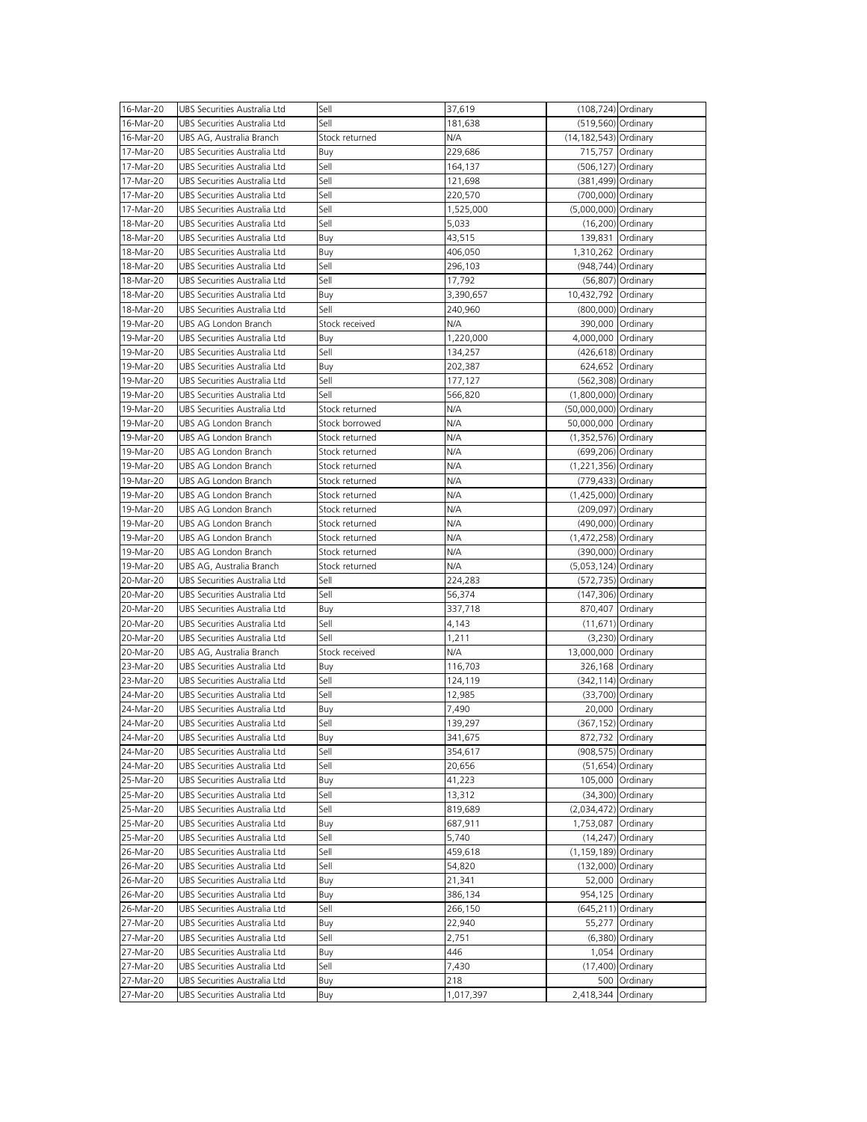| 16-Mar-20 | UBS Securities Australia Ltd | Sell           | 37,619    | (108,724) Ordinary    |                     |
|-----------|------------------------------|----------------|-----------|-----------------------|---------------------|
| 16-Mar-20 | UBS Securities Australia Ltd | Sell           | 181,638   | (519,560) Ordinary    |                     |
| 16-Mar-20 | UBS AG, Australia Branch     | Stock returned | N/A       | (14,182,543) Ordinary |                     |
| 17-Mar-20 | UBS Securities Australia Ltd | Buy            | 229,686   | 715,757 Ordinary      |                     |
| 17-Mar-20 | UBS Securities Australia Ltd | Sell           | 164,137   | (506,127) Ordinary    |                     |
| 17-Mar-20 | UBS Securities Australia Ltd | Sell           | 121,698   | (381,499) Ordinary    |                     |
| 17-Mar-20 | UBS Securities Australia Ltd | Sell           | 220,570   | (700,000) Ordinary    |                     |
|           |                              | Sell           |           |                       |                     |
| 17-Mar-20 | UBS Securities Australia Ltd |                | 1,525,000 | (5,000,000) Ordinary  |                     |
| 18-Mar-20 | UBS Securities Australia Ltd | Sell           | 5,033     |                       | (16,200) Ordinary   |
| 18-Mar-20 | UBS Securities Australia Ltd | Buy            | 43,515    | 139,831 Ordinary      |                     |
| 18-Mar-20 | UBS Securities Australia Ltd | Buy            | 406,050   | 1,310,262 Ordinary    |                     |
| 18-Mar-20 | UBS Securities Australia Ltd | Sell           | 296,103   | (948,744) Ordinary    |                     |
| 18-Mar-20 | UBS Securities Australia Ltd | Sell           | 17,792    |                       | (56,807) Ordinary   |
| 18-Mar-20 | UBS Securities Australia Ltd | Buy            | 3,390,657 | 10,432,792 Ordinary   |                     |
| 18-Mar-20 | UBS Securities Australia Ltd | Sell           | 240,960   | (800,000) Ordinary    |                     |
| 19-Mar-20 | UBS AG London Branch         | Stock received | N/A       | 390,000 Ordinary      |                     |
| 19-Mar-20 | UBS Securities Australia Ltd | Buy            | 1,220,000 | 4,000,000 Ordinary    |                     |
| 19-Mar-20 | UBS Securities Australia Ltd | Sell           | 134,257   | (426,618) Ordinary    |                     |
| 19-Mar-20 | UBS Securities Australia Ltd | Buy            | 202,387   | 624,652 Ordinary      |                     |
| 19-Mar-20 | UBS Securities Australia Ltd | Sell           | 177,127   | (562,308) Ordinary    |                     |
|           | UBS Securities Australia Ltd | Sell           |           |                       |                     |
| 19-Mar-20 |                              |                | 566,820   | (1,800,000) Ordinary  |                     |
| 19-Mar-20 | UBS Securities Australia Ltd | Stock returned | N/A       | (50,000,000) Ordinary |                     |
| 19-Mar-20 | UBS AG London Branch         | Stock borrowed | N/A       | 50,000,000 Ordinary   |                     |
| 19-Mar-20 | UBS AG London Branch         | Stock returned | N/A       | (1,352,576) Ordinary  |                     |
| 19-Mar-20 | UBS AG London Branch         | Stock returned | N/A       | (699,206) Ordinary    |                     |
| 19-Mar-20 | UBS AG London Branch         | Stock returned | N/A       | (1,221,356) Ordinary  |                     |
| 19-Mar-20 | UBS AG London Branch         | Stock returned | N/A       | (779,433) Ordinary    |                     |
| 19-Mar-20 | UBS AG London Branch         | Stock returned | N/A       | (1,425,000) Ordinary  |                     |
| 19-Mar-20 | UBS AG London Branch         | Stock returned | N/A       | (209,097) Ordinary    |                     |
| 19-Mar-20 | UBS AG London Branch         | Stock returned | N/A       | (490,000) Ordinary    |                     |
| 19-Mar-20 | UBS AG London Branch         | Stock returned | N/A       | (1,472,258) Ordinary  |                     |
| 19-Mar-20 | UBS AG London Branch         | Stock returned | N/A       | (390,000) Ordinary    |                     |
| 19-Mar-20 | UBS AG, Australia Branch     | Stock returned | N/A       | (5,053,124) Ordinary  |                     |
| 20-Mar-20 | UBS Securities Australia Ltd | Sell           | 224,283   | (572,735) Ordinary    |                     |
| 20-Mar-20 | UBS Securities Australia Ltd | Sell           | 56,374    | (147,306) Ordinary    |                     |
| 20-Mar-20 | UBS Securities Australia Ltd | Buy            | 337,718   | 870,407 Ordinary      |                     |
| 20-Mar-20 | UBS Securities Australia Ltd | Sell           | 4,143     |                       | $(11,671)$ Ordinary |
| 20-Mar-20 | UBS Securities Australia Ltd | Sell           | 1,211     |                       | $(3,230)$ Ordinary  |
|           |                              | Stock received | N/A       | 13,000,000 Ordinary   |                     |
| 20-Mar-20 | UBS AG, Australia Branch     |                |           |                       |                     |
| 23-Mar-20 | UBS Securities Australia Ltd | Buy            | 116,703   | 326,168 Ordinary      |                     |
| 23-Mar-20 | UBS Securities Australia Ltd | Sell           | 124,119   | (342,114) Ordinary    |                     |
| 24-Mar-20 | UBS Securities Australia Ltd | Sell           | 12,985    |                       | (33,700) Ordinary   |
| 24-Mar-20 | UBS Securities Australia Ltd | Buy            | 7,490     |                       | 20,000 Ordinary     |
| 24-Mar-20 | UBS Securities Australia Ltd | Sell           | 139,297   | (367,152) Ordinary    |                     |
| 24-Mar-20 | UBS Securities Australia Ltd | Buy            | 341,675   | 872,732 Ordinary      |                     |
| 24-Mar-20 | UBS Securities Australia Ltd | Sell           | 354,617   | (908,575) Ordinary    |                     |
| 24-Mar-20 | UBS Securities Australia Ltd | Sell           | 20,656    |                       | $(51,654)$ Ordinary |
| 25-Mar-20 | UBS Securities Australia Ltd | Buy            | 41,223    | 105,000 Ordinary      |                     |
| 25-Mar-20 | UBS Securities Australia Ltd | Sell           | 13,312    |                       | (34,300) Ordinary   |
| 25-Mar-20 | UBS Securities Australia Ltd | Sell           | 819,689   | (2,034,472) Ordinary  |                     |
| 25-Mar-20 | UBS Securities Australia Ltd | Buy            | 687,911   | 1,753,087 Ordinary    |                     |
| 25-Mar-20 | UBS Securities Australia Ltd | Sell           | 5,740     |                       | $(14,247)$ Ordinary |
| 26-Mar-20 | UBS Securities Australia Ltd | Sell           | 459,618   | (1,159,189) Ordinary  |                     |
| 26-Mar-20 | UBS Securities Australia Ltd | Sell           | 54,820    | (132,000) Ordinary    |                     |
| 26-Mar-20 | UBS Securities Australia Ltd | Buy            | 21,341    |                       | 52,000 Ordinary     |
| 26-Mar-20 | UBS Securities Australia Ltd | Buy            | 386,134   | 954,125 Ordinary      |                     |
| 26-Mar-20 | UBS Securities Australia Ltd | Sell           |           | (645,211) Ordinary    |                     |
|           |                              |                | 266,150   |                       |                     |
| 27-Mar-20 | UBS Securities Australia Ltd | Buy            | 22,940    |                       | 55,277 Ordinary     |
| 27-Mar-20 | UBS Securities Australia Ltd | Sell           | 2,751     |                       | (6,380) Ordinary    |
| 27-Mar-20 | UBS Securities Australia Ltd | Buy            | 446       |                       | 1,054 Ordinary      |
| 27-Mar-20 | UBS Securities Australia Ltd | Sell           | 7,430     |                       | (17,400) Ordinary   |
| 27-Mar-20 | UBS Securities Australia Ltd | Buy            | 218       |                       | 500 Ordinary        |
| 27-Mar-20 | UBS Securities Australia Ltd | Buy            | 1,017,397 | 2,418,344 Ordinary    |                     |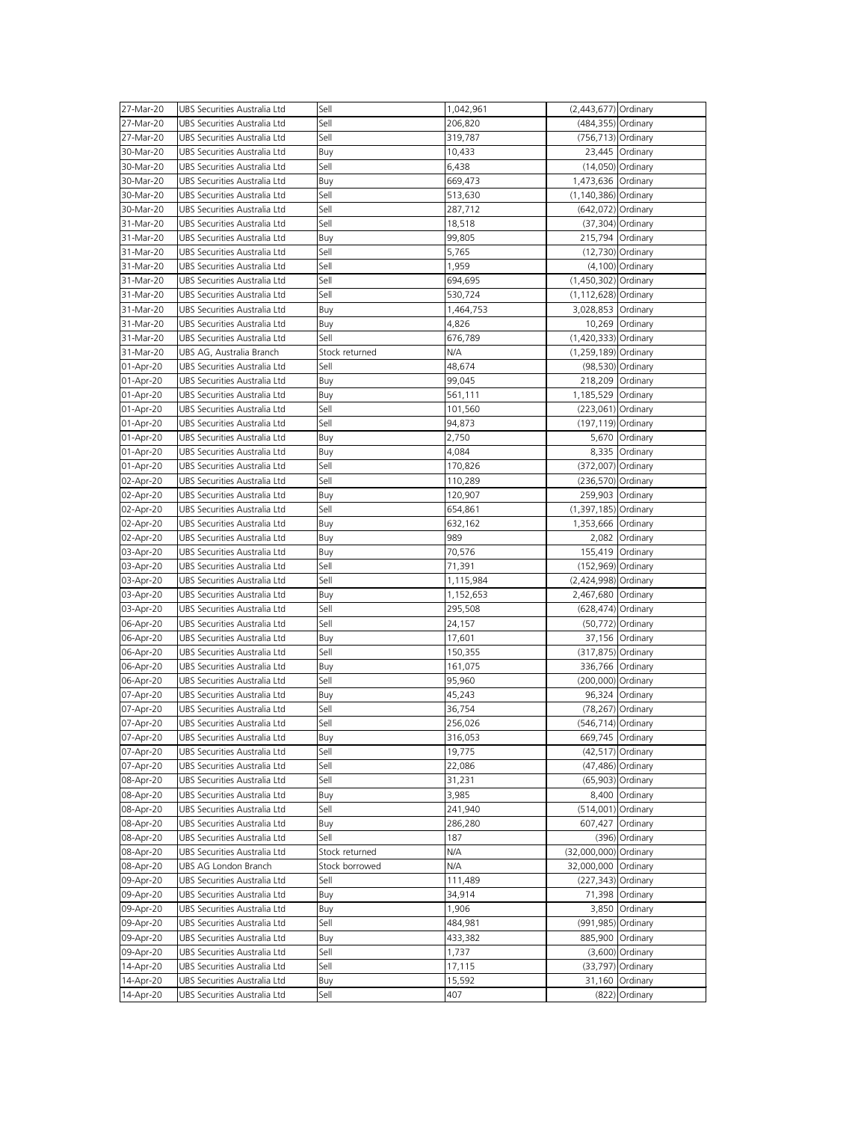| 27-Mar-20 | UBS Securities Australia Ltd | Sell           | 1,042,961 | (2,443,677) Ordinary     |                      |
|-----------|------------------------------|----------------|-----------|--------------------------|----------------------|
|           |                              |                |           |                          |                      |
| 27-Mar-20 | UBS Securities Australia Ltd | Sell           | 206,820   | (484,355) Ordinary       |                      |
| 27-Mar-20 | UBS Securities Australia Ltd | Sell           | 319,787   | (756,713) Ordinary       |                      |
| 30-Mar-20 | UBS Securities Australia Ltd | Buy            | 10,433    |                          | 23,445 Ordinary      |
| 30-Mar-20 | UBS Securities Australia Ltd | Sell           | 6,438     |                          | (14,050) Ordinary    |
| 30-Mar-20 | UBS Securities Australia Ltd | Buy            | 669,473   | 1,473,636 Ordinary       |                      |
| 30-Mar-20 | UBS Securities Australia Ltd | Sell           | 513,630   | (1,140,386) Ordinary     |                      |
| 30-Mar-20 | UBS Securities Australia Ltd | Sell           | 287,712   | (642,072) Ordinary       |                      |
| 31-Mar-20 | UBS Securities Australia Ltd | Sell           | 18,518    |                          | (37,304) Ordinary    |
|           |                              |                |           |                          |                      |
| 31-Mar-20 | UBS Securities Australia Ltd | Buy            | 99,805    | 215,794 Ordinary         |                      |
| 31-Mar-20 | UBS Securities Australia Ltd | Sell           | 5,765     |                          | (12,730) Ordinary    |
| 31-Mar-20 | UBS Securities Australia Ltd | Sell           | 1,959     |                          | (4,100) Ordinary     |
| 31-Mar-20 | UBS Securities Australia Ltd | Sell           | 694,695   | (1,450,302) Ordinary     |                      |
| 31-Mar-20 | UBS Securities Australia Ltd | Sell           | 530,724   | (1,112,628) Ordinary     |                      |
| 31-Mar-20 | UBS Securities Australia Ltd | Buy            | 1,464,753 | 3,028,853 Ordinary       |                      |
| 31-Mar-20 | UBS Securities Australia Ltd | Buy            | 4,826     |                          | 10,269 Ordinary      |
| 31-Mar-20 | UBS Securities Australia Ltd | Sell           | 676,789   | (1,420,333) Ordinary     |                      |
|           |                              |                | N/A       |                          |                      |
| 31-Mar-20 | UBS AG, Australia Branch     | Stock returned |           | (1,259,189) Ordinary     |                      |
| 01-Apr-20 | UBS Securities Australia Ltd | Sell           | 48,674    |                          | (98,530) Ordinary    |
| 01-Apr-20 | UBS Securities Australia Ltd | Buy            | 99,045    | 218,209 Ordinary         |                      |
| 01-Apr-20 | UBS Securities Australia Ltd | Buy            | 561,111   | 1,185,529 Ordinary       |                      |
| 01-Apr-20 | UBS Securities Australia Ltd | Sell           | 101,560   | (223,061) Ordinary       |                      |
| 01-Apr-20 | UBS Securities Australia Ltd | Sell           | 94,873    | (197,119) Ordinary       |                      |
| 01-Apr-20 | UBS Securities Australia Ltd | Buy            | 2,750     |                          | 5,670 Ordinary       |
| 01-Apr-20 | UBS Securities Australia Ltd | Buy            | 4,084     |                          | 8,335 Ordinary       |
| 01-Apr-20 | UBS Securities Australia Ltd | Sell           | 170,826   | (372,007) Ordinary       |                      |
|           |                              |                |           |                          |                      |
| 02-Apr-20 | UBS Securities Australia Ltd | Sell           | 110,289   | (236,570) Ordinary       |                      |
| 02-Apr-20 | UBS Securities Australia Ltd | Buy            | 120,907   | 259,903 Ordinary         |                      |
| 02-Apr-20 | UBS Securities Australia Ltd | Sell           | 654,861   | $(1, 397, 185)$ Ordinary |                      |
| 02-Apr-20 | UBS Securities Australia Ltd | Buy            | 632,162   | 1,353,666 Ordinary       |                      |
| 02-Apr-20 | UBS Securities Australia Ltd | Buy            | 989       |                          | 2,082 Ordinary       |
| 03-Apr-20 | UBS Securities Australia Ltd | Buy            | 70,576    | 155,419 Ordinary         |                      |
| 03-Apr-20 | UBS Securities Australia Ltd | Sell           | 71,391    | (152,969) Ordinary       |                      |
| 03-Apr-20 | UBS Securities Australia Ltd | Sell           | 1,115,984 | (2,424,998) Ordinary     |                      |
| 03-Apr-20 | UBS Securities Australia Ltd | Buy            | 1,152,653 | 2,467,680 Ordinary       |                      |
|           | UBS Securities Australia Ltd | Sell           |           | (628,474) Ordinary       |                      |
| 03-Apr-20 |                              |                | 295,508   |                          |                      |
| 06-Apr-20 | UBS Securities Australia Ltd | Sell           | 24,157    |                          | (50,772) Ordinary    |
| 06-Apr-20 | UBS Securities Australia Ltd | Buy            | 17,601    |                          | 37,156 Ordinary      |
| 06-Apr-20 | UBS Securities Australia Ltd | Sell           | 150,355   | (317,875) Ordinary       |                      |
| 06-Apr-20 | UBS Securities Australia Ltd | Buy            | 161,075   | 336,766 Ordinary         |                      |
| 06-Apr-20 | UBS Securities Australia Ltd | Sell           | 95,960    | (200,000) Ordinary       |                      |
| 07-Apr-20 | UBS Securities Australia Ltd | Buy            | 45,243    |                          | 96,324 Ordinary      |
| 07-Apr-20 | UBS Securities Australia Ltd | Sell           | 36,754    |                          | (78,267) Ordinary    |
| 07-Apr-20 | UBS Securities Australia Ltd | Sell           | 256,026   | (546,714) Ordinary       |                      |
| 07-Apr-20 | UBS Securities Australia Ltd | Buy            | 316,053   | 669,745 Ordinary         |                      |
|           |                              | Sell           |           |                          |                      |
| 07-Apr-20 | UBS Securities Australia Ltd |                | 19,775    |                          | $(42, 517)$ Ordinary |
| 07-Apr-20 | UBS Securities Australia Ltd | Sell           | 22,086    |                          | (47,486) Ordinary    |
| 08-Apr-20 | UBS Securities Australia Ltd | Sell           | 31,231    |                          | (65,903) Ordinary    |
| 08-Apr-20 | UBS Securities Australia Ltd | Buy            | 3,985     |                          | 8,400 Ordinary       |
| 08-Apr-20 | UBS Securities Australia Ltd | Sell           | 241,940   | (514,001) Ordinary       |                      |
| 08-Apr-20 | UBS Securities Australia Ltd | Buy            | 286,280   | 607,427 Ordinary         |                      |
| 08-Apr-20 | UBS Securities Australia Ltd | Sell           | 187       |                          | (396) Ordinary       |
| 08-Apr-20 | UBS Securities Australia Ltd | Stock returned | N/A       | (32,000,000) Ordinary    |                      |
| 08-Apr-20 | UBS AG London Branch         | Stock borrowed | N/A       | 32,000,000 Ordinary      |                      |
| 09-Apr-20 | UBS Securities Australia Ltd | Sell           | 111,489   | (227,343) Ordinary       |                      |
|           |                              |                |           |                          |                      |
| 09-Apr-20 | UBS Securities Australia Ltd | Buy            | 34,914    |                          | 71,398 Ordinary      |
| 09-Apr-20 | UBS Securities Australia Ltd | Buy            | 1,906     |                          | 3,850 Ordinary       |
| 09-Apr-20 | UBS Securities Australia Ltd | Sell           | 484,981   | (991,985) Ordinary       |                      |
| 09-Apr-20 | UBS Securities Australia Ltd | Buy            | 433,382   | 885,900 Ordinary         |                      |
| 09-Apr-20 | UBS Securities Australia Ltd | Sell           | 1,737     |                          | (3,600) Ordinary     |
| 14-Apr-20 | UBS Securities Australia Ltd | Sell           | 17,115    |                          | (33,797) Ordinary    |
| 14-Apr-20 | UBS Securities Australia Ltd | Buy            | 15,592    |                          | 31,160 Ordinary      |
| 14-Apr-20 | UBS Securities Australia Ltd | Sell           | 407       |                          | (822) Ordinary       |
|           |                              |                |           |                          |                      |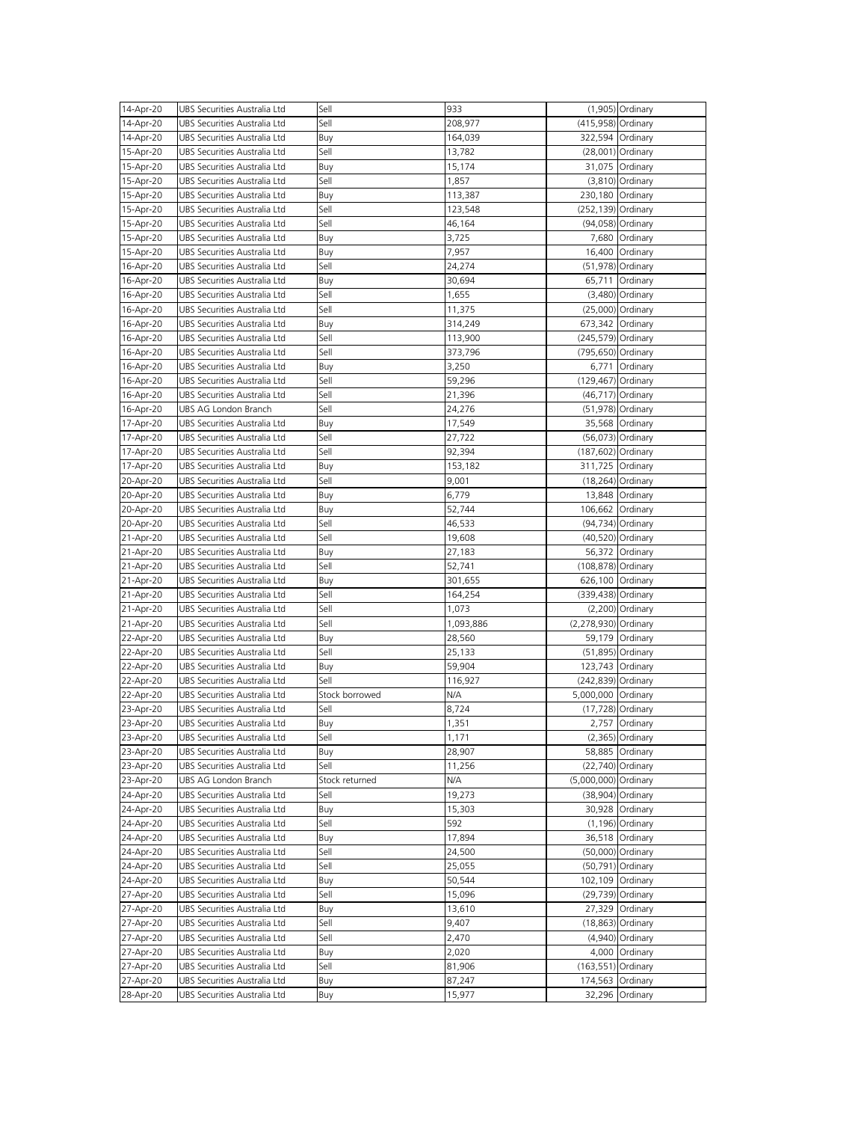|                        | UBS Securities Australia Ltd | Sell           | 933              |                      | (1,905) Ordinary    |
|------------------------|------------------------------|----------------|------------------|----------------------|---------------------|
| 14-Apr-20              |                              |                |                  |                      |                     |
| 14-Apr-20              | UBS Securities Australia Ltd | Sell           | 208,977          | (415,958) Ordinary   |                     |
| 14-Apr-20              | UBS Securities Australia Ltd | Buy            | 164,039          |                      | 322,594 Ordinary    |
| 15-Apr-20              | UBS Securities Australia Ltd | Sell           | 13,782           |                      | (28,001) Ordinary   |
| 15-Apr-20              | UBS Securities Australia Ltd | Buy            | 15,174           |                      | 31,075 Ordinary     |
| 15-Apr-20              | UBS Securities Australia Ltd | Sell           | 1,857            |                      | $(3,810)$ Ordinary  |
|                        |                              |                |                  |                      |                     |
| 15-Apr-20              | UBS Securities Australia Ltd | Buy            | 113,387          |                      | 230,180 Ordinary    |
| 15-Apr-20              | UBS Securities Australia Ltd | Sell           | 123,548          | (252,139) Ordinary   |                     |
| 15-Apr-20              | UBS Securities Australia Ltd | Sell           | 46,164           |                      | (94,058) Ordinary   |
| 15-Apr-20              | UBS Securities Australia Ltd | Buy            | 3,725            |                      | 7,680 Ordinary      |
| 15-Apr-20              | UBS Securities Australia Ltd | Buy            | 7,957            |                      | 16,400 Ordinary     |
|                        |                              |                |                  |                      |                     |
| 16-Apr-20              | UBS Securities Australia Ltd | Sell           | 24,274           |                      | (51,978) Ordinary   |
| 16-Apr-20              | UBS Securities Australia Ltd | Buy            | 30,694           |                      | 65,711 Ordinary     |
| 16-Apr-20              | UBS Securities Australia Ltd | Sell           | 1,655            |                      | $(3,480)$ Ordinary  |
| 16-Apr-20              | UBS Securities Australia Ltd | Sell           | 11,375           |                      | (25,000) Ordinary   |
| 16-Apr-20              | UBS Securities Australia Ltd | Buy            | 314,249          | 673,342 Ordinary     |                     |
| 16-Apr-20              | UBS Securities Australia Ltd | Sell           | 113,900          | (245,579) Ordinary   |                     |
|                        |                              |                |                  |                      |                     |
| 16-Apr-20              | UBS Securities Australia Ltd | Sell           | 373,796          | (795,650) Ordinary   |                     |
| 16-Apr-20              | UBS Securities Australia Ltd | Buy            | 3,250            |                      | 6,771 Ordinary      |
| 16-Apr-20              | UBS Securities Australia Ltd | Sell           | 59,296           | (129,467) Ordinary   |                     |
| 16-Apr-20              | UBS Securities Australia Ltd | Sell           | 21,396           |                      | (46,717) Ordinary   |
| 16-Apr-20              | UBS AG London Branch         | Sell           | 24,276           |                      | (51,978) Ordinary   |
|                        |                              |                |                  |                      |                     |
| 17-Apr-20              | UBS Securities Australia Ltd | Buy            | 17,549           |                      | 35,568 Ordinary     |
| 17-Apr-20              | UBS Securities Australia Ltd | Sell           | 27,722           |                      | (56,073) Ordinary   |
| 17-Apr-20              | UBS Securities Australia Ltd | Sell           | 92,394           | (187,602) Ordinary   |                     |
| 17-Apr-20              | UBS Securities Australia Ltd | Buy            | 153,182          |                      | 311,725 Ordinary    |
| 20-Apr-20              | UBS Securities Australia Ltd | Sell           | 9,001            |                      | $(18,264)$ Ordinary |
| 20-Apr-20              | UBS Securities Australia Ltd | Buy            | 6,779            |                      | 13,848 Ordinary     |
|                        |                              |                |                  |                      |                     |
| 20-Apr-20              | UBS Securities Australia Ltd | Buy            | 52,744           |                      | 106,662 Ordinary    |
| 20-Apr-20              | UBS Securities Australia Ltd | Sell           | 46,533           |                      | (94,734) Ordinary   |
| 21-Apr-20              | UBS Securities Australia Ltd | Sell           | 19,608           |                      | (40,520) Ordinary   |
| 21-Apr-20              | UBS Securities Australia Ltd | Buy            | 27,183           |                      | 56,372 Ordinary     |
| 21-Apr-20              | UBS Securities Australia Ltd | Sell           | 52,741           | (108,878) Ordinary   |                     |
| 21-Apr-20              | UBS Securities Australia Ltd | Buy            | 301,655          |                      | 626,100 Ordinary    |
|                        |                              |                |                  |                      |                     |
| 21-Apr-20              | UBS Securities Australia Ltd | Sell           | 164,254          | (339,438) Ordinary   |                     |
| 21-Apr-20              | UBS Securities Australia Ltd | Sell           | 1,073            |                      | $(2,200)$ Ordinary  |
|                        |                              |                |                  |                      |                     |
| 21-Apr-20              | UBS Securities Australia Ltd | Sell           | 1,093,886        | (2,278,930) Ordinary |                     |
|                        | UBS Securities Australia Ltd |                |                  |                      |                     |
| 22-Apr-20              |                              | Buy            | 28,560           |                      | 59,179 Ordinary     |
| 22-Apr-20              | UBS Securities Australia Ltd | Sell           | 25,133           |                      | (51,895) Ordinary   |
| 22-Apr-20              | UBS Securities Australia Ltd | Buy            | 59,904           |                      | 123,743 Ordinary    |
| 22-Apr-20              | UBS Securities Australia Ltd | Sell           | 116,927          | (242,839) Ordinary   |                     |
| 22-Apr-20              | UBS Securities Australia Ltd | Stock borrowed | N/A              | 5,000,000 Ordinary   |                     |
| 23-Apr-20              | UBS Securities Australia Ltd | Sell           | 8,724            |                      | (17,728) Ordinary   |
| 23-Apr-20              | UBS Securities Australia Ltd | Buy            | 1,351            |                      | 2,757 Ordinary      |
|                        |                              |                |                  |                      |                     |
| 23-Apr-20              | UBS Securities Australia Ltd | Sell           | 1,171            |                      | $(2,365)$ Ordinary  |
| 23-Apr-20              | UBS Securities Australia Ltd | Buy            | 28,907           |                      | 58,885 Ordinary     |
| 23-Apr-20              | UBS Securities Australia Ltd | Sell           | 11,256           |                      | (22,740) Ordinary   |
| 23-Apr-20              | UBS AG London Branch         | Stock returned | N/A              | (5,000,000) Ordinary |                     |
| 24-Apr-20              | UBS Securities Australia Ltd | Sell           | 19,273           |                      | (38,904) Ordinary   |
| 24-Apr-20              | UBS Securities Australia Ltd | Buy            | 15,303           |                      | 30,928 Ordinary     |
|                        |                              |                |                  |                      |                     |
| 24-Apr-20              | UBS Securities Australia Ltd | Sell           | 592              |                      | (1,196) Ordinary    |
| 24-Apr-20              | UBS Securities Australia Ltd | Buy            | 17,894           |                      | 36,518 Ordinary     |
| 24-Apr-20              | UBS Securities Australia Ltd | Sell           | 24,500           |                      | (50,000) Ordinary   |
| 24-Apr-20              | UBS Securities Australia Ltd | Sell           | 25,055           |                      | (50,791) Ordinary   |
| 24-Apr-20              | UBS Securities Australia Ltd | Buy            | 50,544           |                      | 102,109 Ordinary    |
|                        | UBS Securities Australia Ltd | Sell           | 15,096           |                      |                     |
| 27-Apr-20              |                              |                |                  |                      | (29,739) Ordinary   |
| 27-Apr-20              | UBS Securities Australia Ltd | Buy            | 13,610           |                      | 27,329 Ordinary     |
| 27-Apr-20              | UBS Securities Australia Ltd | Sell           | 9,407            |                      | (18,863) Ordinary   |
| 27-Apr-20              | UBS Securities Australia Ltd | Sell           | 2,470            |                      | (4,940) Ordinary    |
| 27-Apr-20              | UBS Securities Australia Ltd | Buy            | 2,020            |                      | 4,000 Ordinary      |
| 27-Apr-20              | UBS Securities Australia Ltd | Sell           | 81,906           | (163,551) Ordinary   |                     |
|                        | UBS Securities Australia Ltd |                |                  |                      |                     |
| 27-Apr-20<br>28-Apr-20 | UBS Securities Australia Ltd | Buy<br>Buy     | 87,247<br>15,977 | 174,563 Ordinary     | 32,296 Ordinary     |